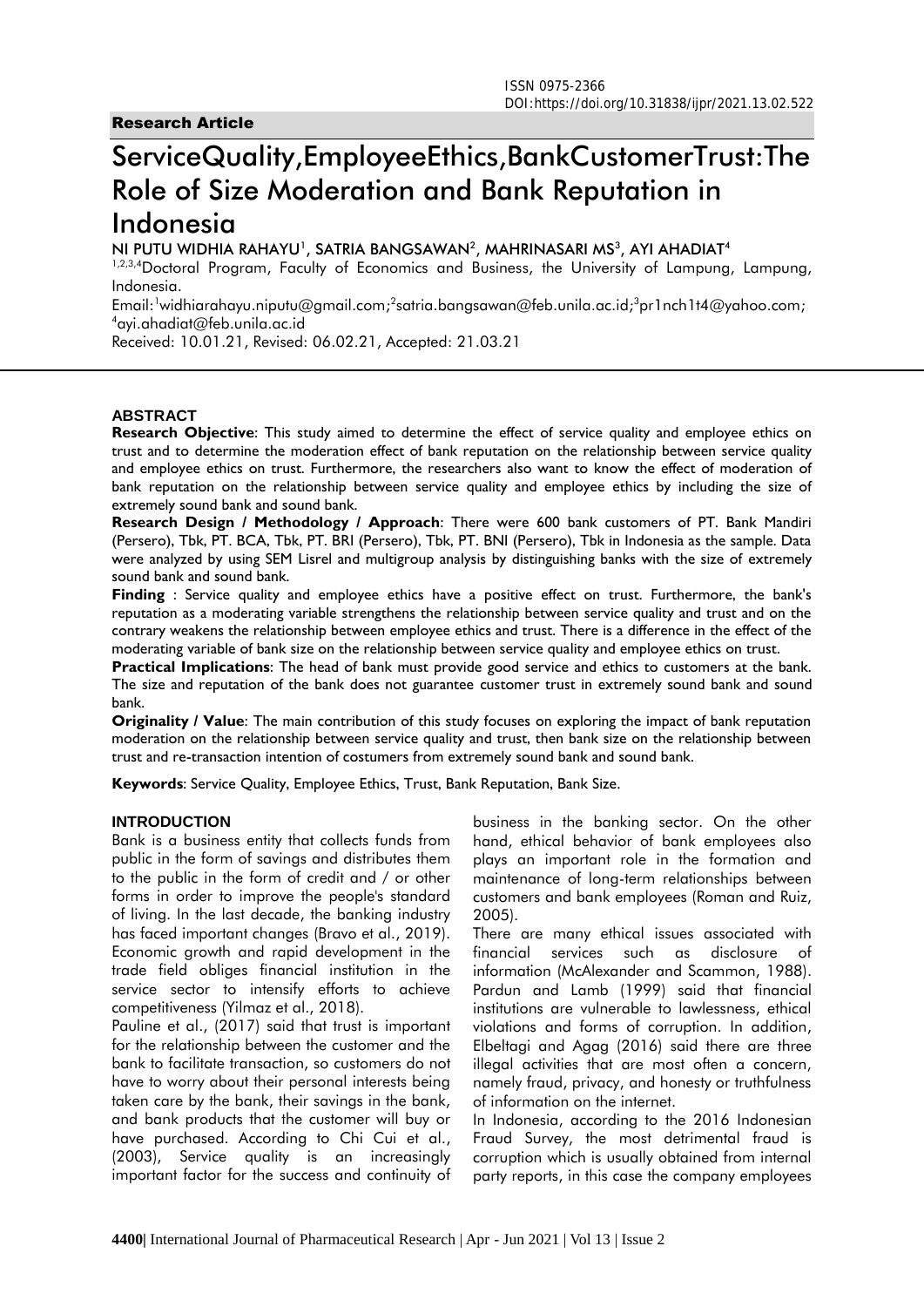# **ServiceQuality,EmployeeEthics,BankCustomerTrust:The Role of Size Moderation and Bank Reputation in Indonesia**

**NI PUTU WIDHIA RAHAYU<sup>1</sup> , SATRIA BANGSAWAN<sup>2</sup> , MAHRINASARI MS<sup>3</sup> , AYI AHADIAT<sup>4</sup>**

1,2,3,4Doctoral Program, Faculty of Economics and Business, the University of Lampung, Lampung, Indonesia.

Email:<sup>1</sup>widhiarahayu.niputu@gmail.com;<sup>2</sup>[satria.bangsawan@feb.unila.ac.id;](mailto:2satria.bangsawan@feb.unila.ac.id)<sup>3</sup>[pr1nch1t4@yahoo.com;](mailto:3pr1nch1t4@yahoo.com) <sup>4</sup>ayi.ahadiat@feb.unila.ac.id

Received: 10.01.21, Revised: 06.02.21, Accepted: 21.03.21

## **ABSTRACT**

**Research Objective**: This study aimed to determine the effect of service quality and employee ethics on trust and to determine the moderation effect of bank reputation on the relationship between service quality and employee ethics on trust. Furthermore, the researchers also want to know the effect of moderation of bank reputation on the relationship between service quality and employee ethics by including the size of extremely sound bank and sound bank.

**Research Design / Methodology / Approach**: There were 600 bank customers of PT. Bank Mandiri (Persero), Tbk, PT. BCA, Tbk, PT. BRI (Persero), Tbk, PT. BNI (Persero), Tbk in Indonesia as the sample. Data were analyzed by using SEM Lisrel and multigroup analysis by distinguishing banks with the size of extremely sound bank and sound bank.

**Finding** : Service quality and employee ethics have a positive effect on trust. Furthermore, the bank's reputation as a moderating variable strengthens the relationship between service quality and trust and on the contrary weakens the relationship between employee ethics and trust. There is a difference in the effect of the moderating variable of bank size on the relationship between service quality and employee ethics on trust.

**Practical Implications**: The head of bank must provide good service and ethics to customers at the bank. The size and reputation of the bank does not guarantee customer trust in extremely sound bank and sound bank.

**Originality / Value**: The main contribution of this study focuses on exploring the impact of bank reputation moderation on the relationship between service quality and trust, then bank size on the relationship between trust and re-transaction intention of costumers from extremely sound bank and sound bank.

**Keywords**: Service Quality, Employee Ethics, Trust, Bank Reputation, Bank Size.

#### **INTRODUCTION**

Bank is a business entity that collects funds from public in the form of savings and distributes them to the public in the form of credit and / or other forms in order to improve the people's standard of living. In the last decade, the banking industry has faced important changes (Bravo et al., 2019). Economic growth and rapid development in the trade field obliges financial institution in the service sector to intensify efforts to achieve competitiveness (Yilmaz et al., 2018).

Pauline et al., (2017) said that trust is important for the relationship between the customer and the bank to facilitate transaction, so customers do not have to worry about their personal interests being taken care by the bank, their savings in the bank, and bank products that the customer will buy or have purchased. According to Chi Cui et al., (2003), Service quality is an increasingly important factor for the success and continuity of

business in the banking sector. On the other hand, ethical behavior of bank employees also plays an important role in the formation and maintenance of long-term relationships between customers and bank employees (Roman and Ruiz, 2005).

There are many ethical issues associated with financial services such as disclosure of information (McAlexander and Scammon, 1988). Pardun and Lamb (1999) said that financial institutions are vulnerable to lawlessness, ethical violations and forms of corruption. In addition, Elbeltagi and Agag (2016) said there are three illegal activities that are most often a concern, namely fraud, privacy, and honesty or truthfulness of information on the internet.

In Indonesia, according to the 2016 Indonesian Fraud Survey, the most detrimental fraud is corruption which is usually obtained from internal party reports, in this case the company employees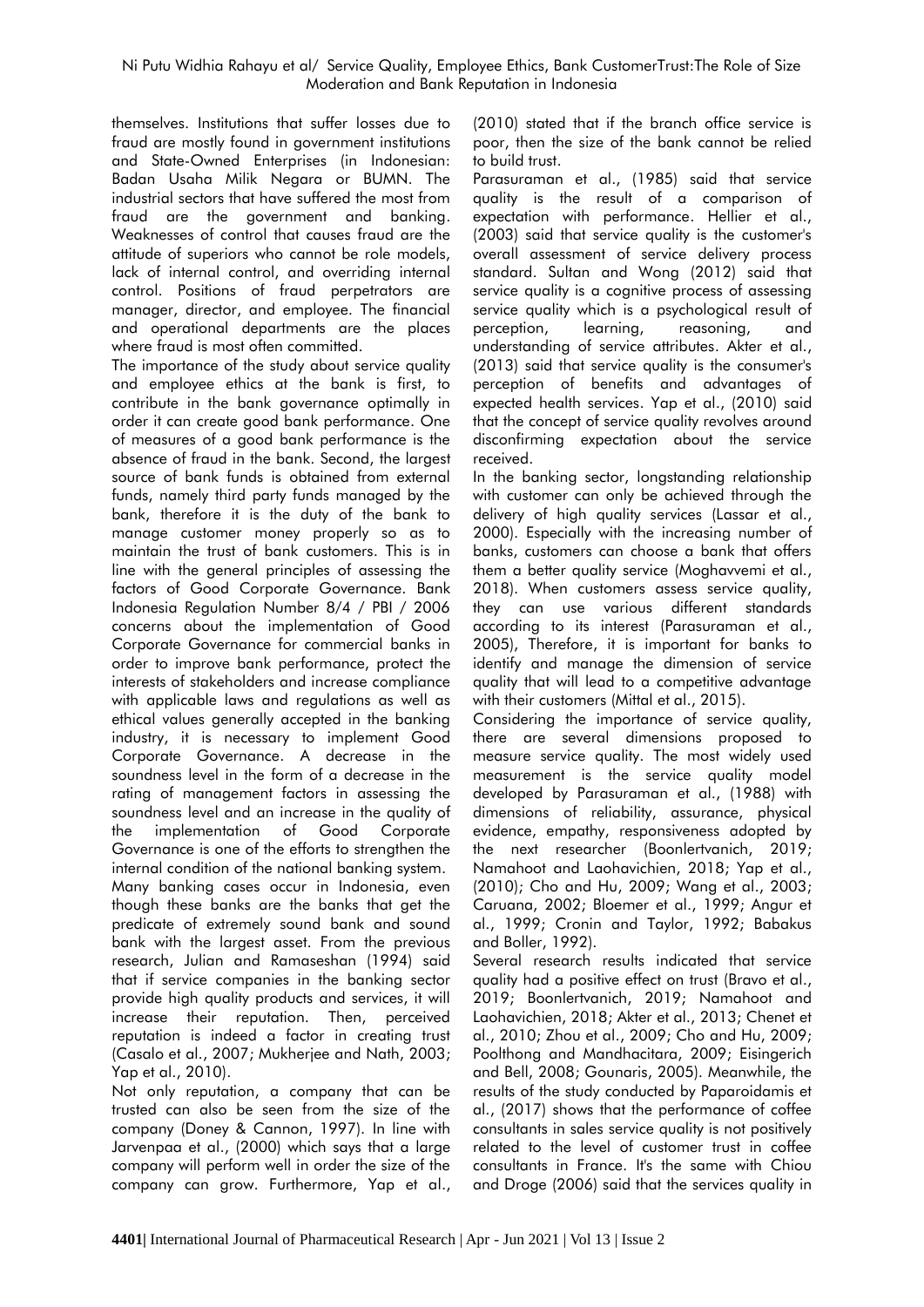themselves. Institutions that suffer losses due to fraud are mostly found in government institutions and State-Owned Enterprises (in Indonesian: Badan Usaha Milik Negara or BUMN. The industrial sectors that have suffered the most from fraud are the government and banking. Weaknesses of control that causes fraud are the attitude of superiors who cannot be role models, lack of internal control, and overriding internal control. Positions of fraud perpetrators are manager, director, and employee. The financial and operational departments are the places where fraud is most often committed.

The importance of the study about service quality and employee ethics at the bank is first, to contribute in the bank governance optimally in order it can create good bank performance. One of measures of a good bank performance is the absence of fraud in the bank. Second, the largest source of bank funds is obtained from external funds, namely third party funds managed by the bank, therefore it is the duty of the bank to manage customer money properly so as to maintain the trust of bank customers. This is in line with the general principles of assessing the factors of Good Corporate Governance. Bank Indonesia Regulation Number 8/4 / PBI / 2006 concerns about the implementation of Good Corporate Governance for commercial banks in order to improve bank performance, protect the interests of stakeholders and increase compliance with applicable laws and regulations as well as ethical values generally accepted in the banking industry, it is necessary to implement Good Corporate Governance. A decrease in the soundness level in the form of a decrease in the rating of management factors in assessing the soundness level and an increase in the quality of the implementation of Good Corporate Governance is one of the efforts to strengthen the internal condition of the national banking system. Many banking cases occur in Indonesia, even though these banks are the banks that get the predicate of extremely sound bank and sound bank with the largest asset. From the previous research, Julian and Ramaseshan (1994) said that if service companies in the banking sector provide high quality products and services, it will increase their reputation. Then, perceived reputation is indeed a factor in creating trust (Casalo et al., 2007; Mukherjee and Nath, 2003; Yap et al., 2010).

Not only reputation, a company that can be trusted can also be seen from the size of the company (Doney & Cannon, 1997). In line with Jarvenpaa et al., (2000) which says that a large company will perform well in order the size of the company can grow. Furthermore, Yap et al.,

(2010) stated that if the branch office service is poor, then the size of the bank cannot be relied to build trust.

Parasuraman et al., (1985) said that service quality is the result of a comparison of expectation with performance. Hellier et al., (2003) said that service quality is the customer's overall assessment of service delivery process standard. Sultan and Wong (2012) said that service quality is a cognitive process of assessing service quality which is a psychological result of perception, learning, reasoning, and understanding of service attributes. Akter et al., (2013) said that service quality is the consumer's perception of benefits and advantages of expected health services. Yap et al., (2010) said that the concept of service quality revolves around disconfirming expectation about the service received.

In the banking sector, longstanding relationship with customer can only be achieved through the delivery of high quality services (Lassar et al., 2000). Especially with the increasing number of banks, customers can choose a bank that offers them a better quality service (Moghavvemi et al., 2018). When customers assess service quality, they can use various different standards according to its interest (Parasuraman et al., 2005), Therefore, it is important for banks to identify and manage the dimension of service quality that will lead to a competitive advantage with their customers (Mittal et al., 2015).

Considering the importance of service quality, there are several dimensions proposed to measure service quality. The most widely used measurement is the service quality model developed by Parasuraman et al., (1988) with dimensions of reliability, assurance, physical evidence, empathy, responsiveness adopted by the next researcher (Boonlertvanich, 2019; Namahoot and Laohavichien, 2018; Yap et al., (2010); Cho and Hu, 2009; Wang et al., 2003; Caruana, 2002; Bloemer et al., 1999; Angur et al., 1999; Cronin and Taylor, 1992; Babakus and Boller, 1992).

Several research results indicated that service quality had a positive effect on trust (Bravo et al., 2019; Boonlertvanich, 2019; Namahoot and Laohavichien, 2018; Akter et al., 2013; Chenet et al., 2010; Zhou et al., 2009; Cho and Hu, 2009; Poolthong and Mandhacitara, 2009; Eisingerich and Bell, 2008; Gounaris, 2005). Meanwhile, the results of the study conducted by Paparoidamis et al., (2017) shows that the performance of coffee consultants in sales service quality is not positively related to the level of customer trust in coffee consultants in France. It's the same with Chiou and Droge (2006) said that the services quality in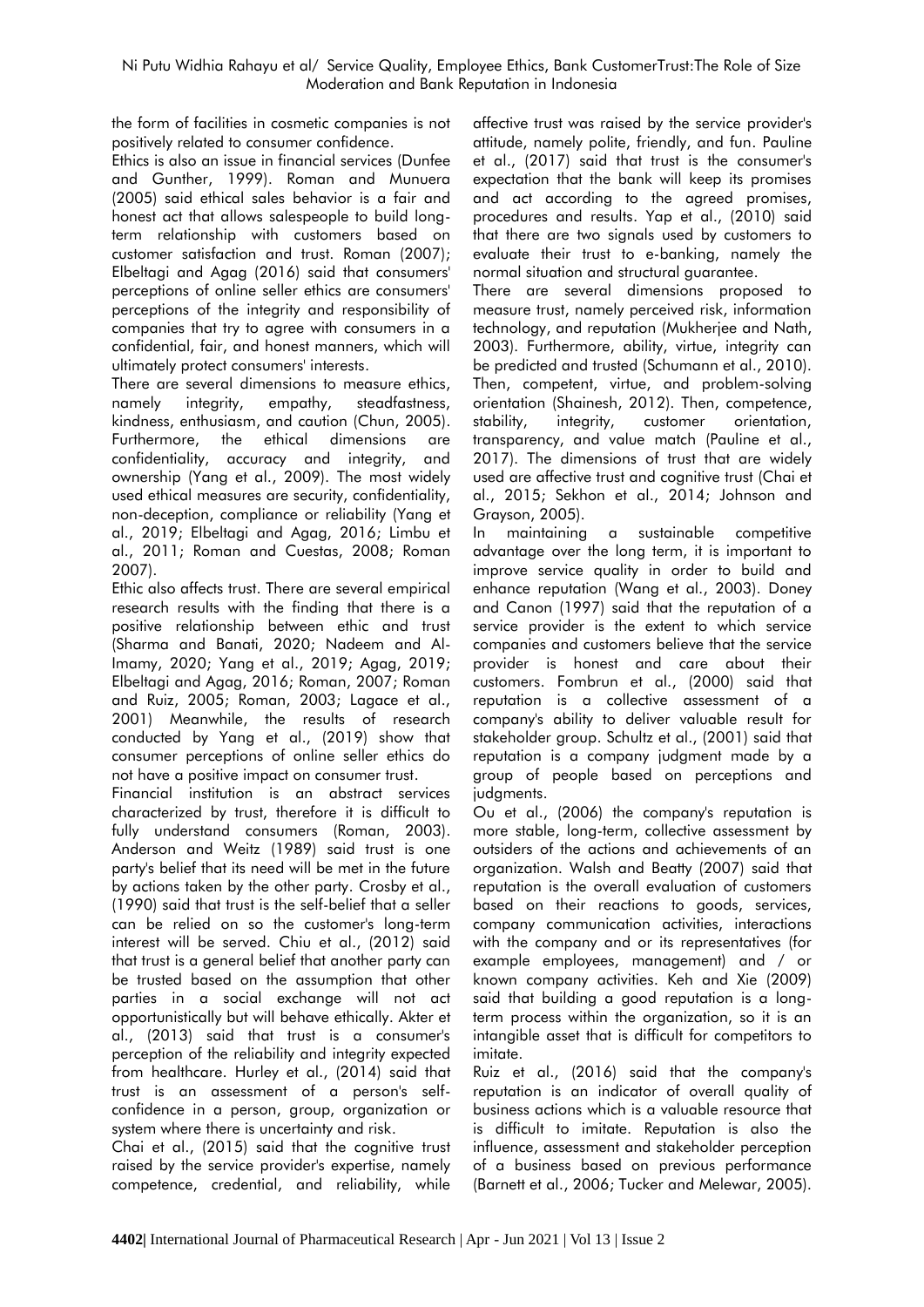the form of facilities in cosmetic companies is not positively related to consumer confidence.

Ethics is also an issue in financial services (Dunfee and Gunther, 1999). Roman and Munuera (2005) said ethical sales behavior is a fair and honest act that allows salespeople to build longterm relationship with customers based on customer satisfaction and trust. Roman (2007); Elbeltagi and Agag (2016) said that consumers' perceptions of online seller ethics are consumers' perceptions of the integrity and responsibility of companies that try to agree with consumers in a confidential, fair, and honest manners, which will ultimately protect consumers' interests.

There are several dimensions to measure ethics, namely integrity, empathy, steadfastness, kindness, enthusiasm, and caution (Chun, 2005). Furthermore, the ethical dimensions are confidentiality, accuracy and integrity, and ownership (Yang et al., 2009). The most widely used ethical measures are security, confidentiality, non-deception, compliance or reliability (Yang et al., 2019; Elbeltagi and Agag, 2016; Limbu et al., 2011; Roman and Cuestas, 2008; Roman 2007).

Ethic also affects trust. There are several empirical research results with the finding that there is a positive relationship between ethic and trust (Sharma and Banati, 2020; Nadeem and Al-Imamy, 2020; Yang et al., 2019; Agag, 2019; Elbeltagi and Agag, 2016; Roman, 2007; Roman and Ruiz, 2005; Roman, 2003; Lagace et al., 2001) Meanwhile, the results of research conducted by Yang et al., (2019) show that consumer perceptions of online seller ethics do not have a positive impact on consumer trust.

Financial institution is an abstract services characterized by trust, therefore it is difficult to fully understand consumers (Roman, 2003). Anderson and Weitz (1989) said trust is one party's belief that its need will be met in the future by actions taken by the other party. Crosby et al., (1990) said that trust is the self-belief that a seller can be relied on so the customer's long-term interest will be served. Chiu et al., (2012) said that trust is a general belief that another party can be trusted based on the assumption that other parties in a social exchange will not act opportunistically but will behave ethically. Akter et al., (2013) said that trust is a consumer's perception of the reliability and integrity expected from healthcare. Hurley et al., (2014) said that trust is an assessment of a person's selfconfidence in a person, group, organization or system where there is uncertainty and risk.

Chai et al., (2015) said that the cognitive trust raised by the service provider's expertise, namely competence, credential, and reliability, while

affective trust was raised by the service provider's attitude, namely polite, friendly, and fun. Pauline et al., (2017) said that trust is the consumer's expectation that the bank will keep its promises and act according to the agreed promises, procedures and results. Yap et al., (2010) said that there are two signals used by customers to evaluate their trust to e-banking, namely the normal situation and structural guarantee.

There are several dimensions proposed to measure trust, namely perceived risk, information technology, and reputation (Mukherjee and Nath, 2003). Furthermore, ability, virtue, integrity can be predicted and trusted (Schumann et al., 2010). Then, competent, virtue, and problem-solving orientation (Shainesh, 2012). Then, competence, stability, integrity, customer orientation, transparency, and value match (Pauline et al., 2017). The dimensions of trust that are widely used are affective trust and cognitive trust (Chai et al., 2015; Sekhon et al., 2014; Johnson and Grayson, 2005).

In maintaining a sustainable competitive advantage over the long term, it is important to improve service quality in order to build and enhance reputation (Wang et al., 2003). Doney and Canon (1997) said that the reputation of a service provider is the extent to which service companies and customers believe that the service provider is honest and care about their customers. Fombrun et al., (2000) said that reputation is a collective assessment of a company's ability to deliver valuable result for stakeholder group. Schultz et al., (2001) said that reputation is a company judgment made by a group of people based on perceptions and judaments.

Ou et al., (2006) the company's reputation is more stable, long-term, collective assessment by outsiders of the actions and achievements of an organization. Walsh and Beatty (2007) said that reputation is the overall evaluation of customers based on their reactions to goods, services, company communication activities, interactions with the company and or its representatives (for example employees, management) and / or known company activities. Keh and Xie (2009) said that building a good reputation is a longterm process within the organization, so it is an intangible asset that is difficult for competitors to imitate.

Ruiz et al., (2016) said that the company's reputation is an indicator of overall quality of business actions which is a valuable resource that is difficult to imitate. Reputation is also the influence, assessment and stakeholder perception of a business based on previous performance (Barnett et al., 2006; Tucker and Melewar, 2005).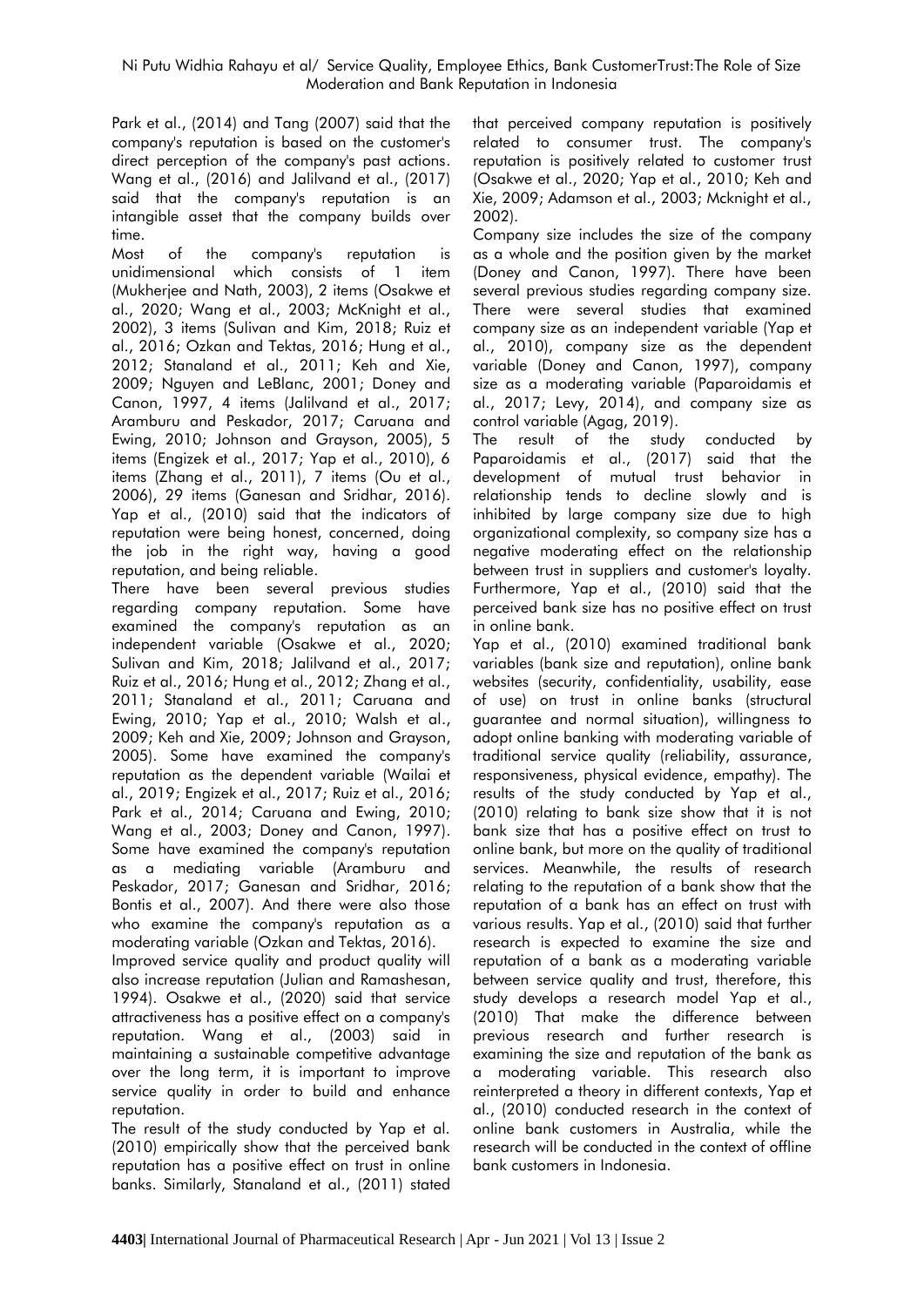Park et al., (2014) and Tang (2007) said that the company's reputation is based on the customer's direct perception of the company's past actions. Wang et al., (2016) and Jalilvand et al., (2017) said that the company's reputation is an intangible asset that the company builds over time.

Most of the company's reputation is unidimensional which consists of 1 item (Mukherjee and Nath, 2003), 2 items (Osakwe et al., 2020; Wang et al., 2003; McKnight et al., 2002), 3 items (Sulivan and Kim, 2018; Ruiz et al., 2016; Ozkan and Tektas, 2016; Hung et al., 2012; Stanaland et al., 2011; Keh and Xie, 2009; Nguyen and LeBlanc, 2001; Doney and Canon, 1997, 4 items (Jalilvand et al., 2017; Aramburu and Peskador, 2017; Caruana and Ewing, 2010; Johnson and Grayson, 2005), 5 items (Engizek et al., 2017; Yap et al., 2010), 6 items (Zhang et al., 2011), 7 items (Ou et al., 2006), 29 items (Ganesan and Sridhar, 2016). Yap et al., (2010) said that the indicators of reputation were being honest, concerned, doing the job in the right way, having a good reputation, and being reliable.

There have been several previous studies regarding company reputation. Some have examined the company's reputation as an independent variable (Osakwe et al., 2020; Sulivan and Kim, 2018; Jalilvand et al., 2017; Ruiz et al., 2016; Hung et al., 2012; Zhang et al., 2011; Stanaland et al., 2011; Caruana and Ewing, 2010; Yap et al., 2010; Walsh et al., 2009; Keh and Xie, 2009; Johnson and Grayson, 2005). Some have examined the company's reputation as the dependent variable (Wailai et al., 2019; Engizek et al., 2017; Ruiz et al., 2016; Park et al., 2014; Caruana and Ewing, 2010; Wang et al., 2003; Doney and Canon, 1997). Some have examined the company's reputation as a mediating variable (Aramburu and Peskador, 2017; Ganesan and Sridhar, 2016; Bontis et al., 2007). And there were also those who examine the company's reputation as a moderating variable (Ozkan and Tektas, 2016).

Improved service quality and product quality will also increase reputation (Julian and Ramashesan, 1994). Osakwe et al., (2020) said that service attractiveness has a positive effect on a company's reputation. Wang et al., (2003) said in maintaining a sustainable competitive advantage over the long term, it is important to improve service quality in order to build and enhance reputation.

The result of the study conducted by Yap et al. (2010) empirically show that the perceived bank reputation has a positive effect on trust in online banks. Similarly, Stanaland et al., (2011) stated

that perceived company reputation is positively related to consumer trust. The company's reputation is positively related to customer trust (Osakwe et al., 2020; Yap et al., 2010; Keh and Xie, 2009; Adamson et al., 2003; Mcknight et al., 2002).

Company size includes the size of the company as a whole and the position given by the market (Doney and Canon, 1997). There have been several previous studies regarding company size. There were several studies that examined company size as an independent variable (Yap et al., 2010), company size as the dependent variable (Doney and Canon, 1997), company size as a moderating variable (Paparoidamis et al., 2017; Levy, 2014), and company size as control variable (Agag, 2019).

The result of the study conducted by Paparoidamis et al., (2017) said that the development of mutual trust behavior in relationship tends to decline slowly and is inhibited by large company size due to high organizational complexity, so company size has a negative moderating effect on the relationship between trust in suppliers and customer's loyalty. Furthermore, Yap et al., (2010) said that the perceived bank size has no positive effect on trust in online bank.

Yap et al., (2010) examined traditional bank variables (bank size and reputation), online bank websites (security, confidentiality, usability, ease of use) on trust in online banks (structural guarantee and normal situation), willingness to adopt online banking with moderating variable of traditional service quality (reliability, assurance, responsiveness, physical evidence, empathy). The results of the study conducted by Yap et al., (2010) relating to bank size show that it is not bank size that has a positive effect on trust to online bank, but more on the quality of traditional services. Meanwhile, the results of research relating to the reputation of a bank show that the reputation of a bank has an effect on trust with various results. Yap et al., (2010) said that further research is expected to examine the size and reputation of a bank as a moderating variable between service quality and trust, therefore, this study develops a research model Yap et al., (2010) That make the difference between previous research and further research is examining the size and reputation of the bank as a moderating variable. This research also reinterpreted a theory in different contexts, Yap et al., (2010) conducted research in the context of online bank customers in Australia, while the research will be conducted in the context of offline bank customers in Indonesia.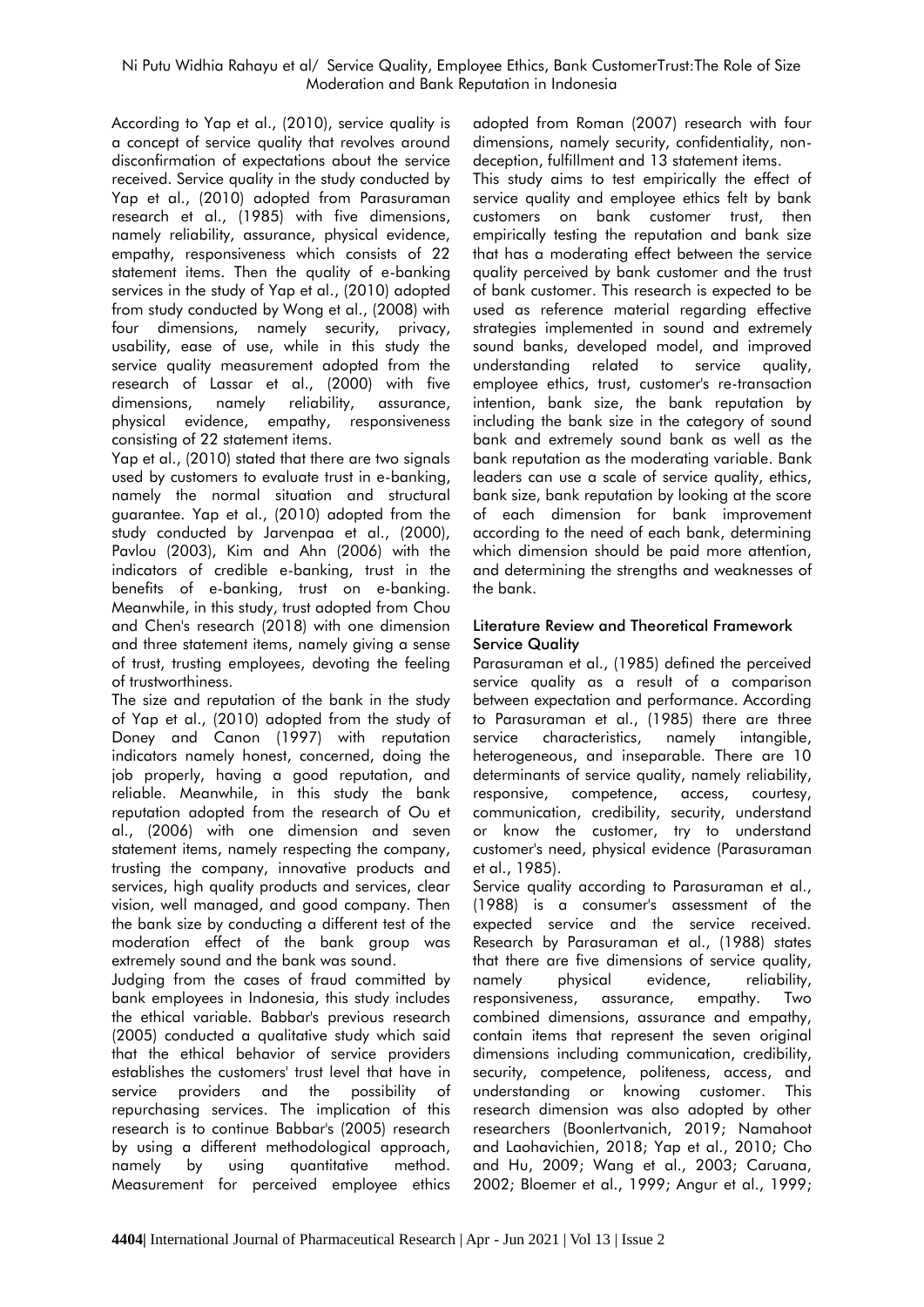According to Yap et al., (2010), service quality is a concept of service quality that revolves around disconfirmation of expectations about the service received. Service quality in the study conducted by Yap et al., (2010) adopted from Parasuraman research et al., (1985) with five dimensions, namely reliability, assurance, physical evidence, empathy, responsiveness which consists of 22 statement items. Then the quality of e-banking services in the study of Yap et al., (2010) adopted from study conducted by Wong et al., (2008) with four dimensions, namely security, privacy, usability, ease of use, while in this study the service quality measurement adopted from the research of Lassar et al., (2000) with five dimensions, namely reliability, assurance, physical evidence, empathy, responsiveness consisting of 22 statement items.

Yap et al., (2010) stated that there are two signals used by customers to evaluate trust in e-banking, namely the normal situation and structural guarantee. Yap et al., (2010) adopted from the study conducted by Jarvenpaa et al., (2000), Pavlou (2003), Kim and Ahn (2006) with the indicators of credible e-banking, trust in the benefits of e-banking, trust on e-banking. Meanwhile, in this study, trust adopted from Chou and Chen's research (2018) with one dimension and three statement items, namely giving a sense of trust, trusting employees, devoting the feeling of trustworthiness.

The size and reputation of the bank in the study of Yap et al., (2010) adopted from the study of Doney and Canon (1997) with reputation indicators namely honest, concerned, doing the job properly, having a good reputation, and reliable. Meanwhile, in this study the bank reputation adopted from the research of Ou et al., (2006) with one dimension and seven statement items, namely respecting the company, trusting the company, innovative products and services, high quality products and services, clear vision, well managed, and good company. Then the bank size by conducting a different test of the moderation effect of the bank group was extremely sound and the bank was sound.

Judging from the cases of fraud committed by bank employees in Indonesia, this study includes the ethical variable. Babbar's previous research (2005) conducted a qualitative study which said that the ethical behavior of service providers establishes the customers' trust level that have in service providers and the possibility of repurchasing services. The implication of this research is to continue Babbar's (2005) research by using a different methodological approach, namely by using quantitative method. Measurement for perceived employee ethics adopted from Roman (2007) research with four dimensions, namely security, confidentiality, nondeception, fulfillment and 13 statement items.

This study aims to test empirically the effect of service quality and employee ethics felt by bank customers on bank customer trust, then empirically testing the reputation and bank size that has a moderating effect between the service quality perceived by bank customer and the trust of bank customer. This research is expected to be used as reference material regarding effective strategies implemented in sound and extremely sound banks, developed model, and improved understanding related to service quality, employee ethics, trust, customer's re-transaction intention, bank size, the bank reputation by including the bank size in the category of sound bank and extremely sound bank as well as the bank reputation as the moderating variable. Bank leaders can use a scale of service quality, ethics, bank size, bank reputation by looking at the score of each dimension for bank improvement according to the need of each bank, determining which dimension should be paid more attention, and determining the strengths and weaknesses of the bank.

# **Literature Review and Theoretical Framework Service Quality**

Parasuraman et al., (1985) defined the perceived service quality as a result of a comparison between expectation and performance. According to Parasuraman et al., (1985) there are three service characteristics, namely intangible, heterogeneous, and inseparable. There are 10 determinants of service quality, namely reliability, responsive, competence, access, courtesy, communication, credibility, security, understand or know the customer, try to understand customer's need, physical evidence (Parasuraman et al., 1985).

Service quality according to Parasuraman et al., (1988) is a consumer's assessment of the expected service and the service received. Research by Parasuraman et al., (1988) states that there are five dimensions of service quality, namely physical evidence, reliability, responsiveness, assurance, empathy. Two combined dimensions, assurance and empathy, contain items that represent the seven original dimensions including communication, credibility, security, competence, politeness, access, and understanding or knowing customer. This research dimension was also adopted by other researchers (Boonlertvanich, 2019; Namahoot and Laohavichien, 2018; Yap et al., 2010; Cho and Hu, 2009; Wang et al., 2003; Caruana, 2002; Bloemer et al., 1999; Angur et al., 1999;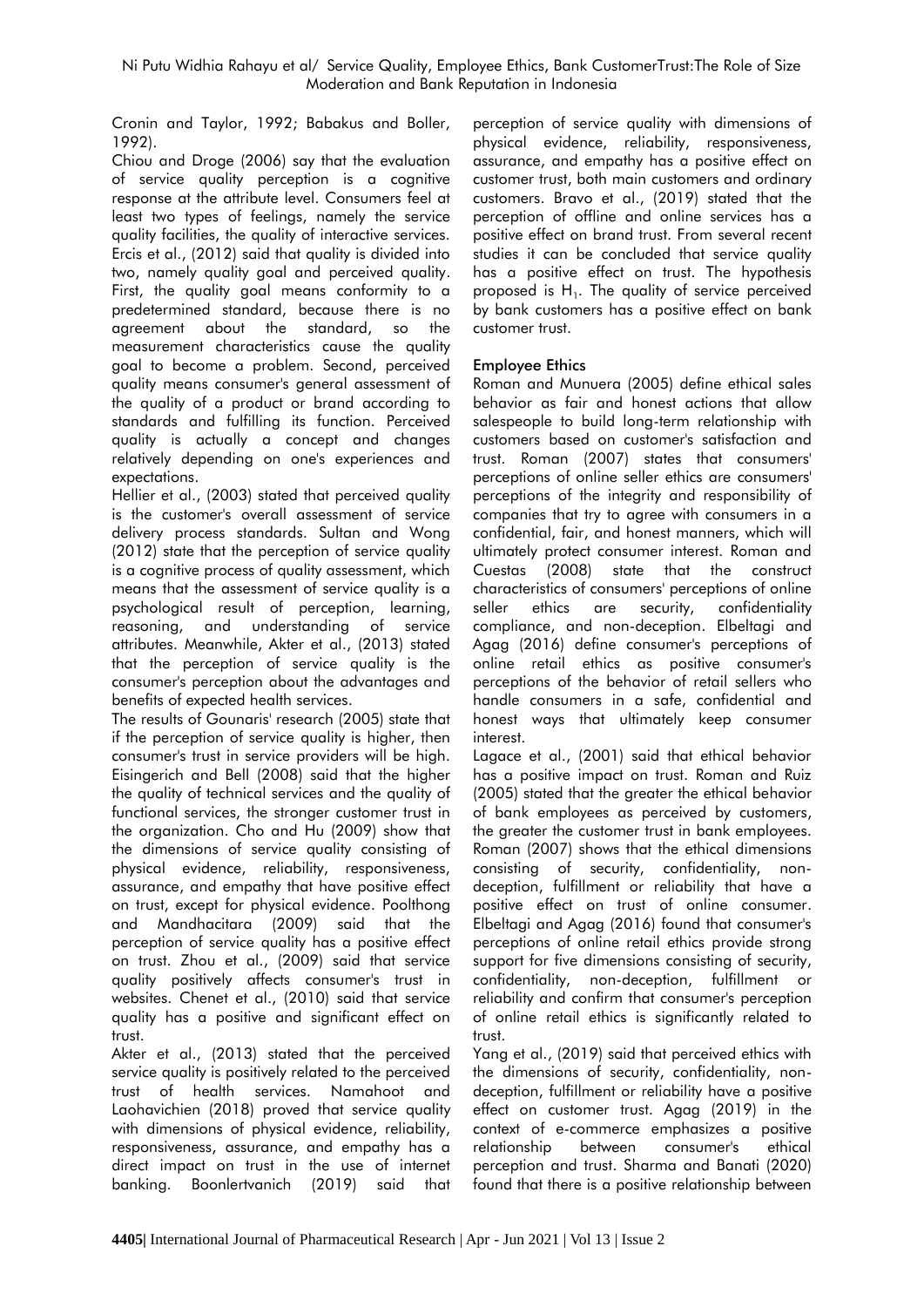Cronin and Taylor, 1992; Babakus and Boller, 1992).

Chiou and Droge (2006) say that the evaluation of service quality perception is a cognitive response at the attribute level. Consumers feel at least two types of feelings, namely the service quality facilities, the quality of interactive services. Ercis et al., (2012) said that quality is divided into two, namely quality goal and perceived quality. First, the quality goal means conformity to a predetermined standard, because there is no agreement about the standard, so the measurement characteristics cause the quality goal to become a problem. Second, perceived quality means consumer's general assessment of the quality of a product or brand according to standards and fulfilling its function. Perceived quality is actually a concept and changes relatively depending on one's experiences and expectations.

Hellier et al., (2003) stated that perceived quality is the customer's overall assessment of service delivery process standards. Sultan and Wong (2012) state that the perception of service quality is a cognitive process of quality assessment, which means that the assessment of service quality is a psychological result of perception, learning, reasoning, and understanding of service attributes. Meanwhile, Akter et al., (2013) stated that the perception of service quality is the consumer's perception about the advantages and benefits of expected health services.

The results of Gounaris' research (2005) state that if the perception of service quality is higher, then consumer's trust in service providers will be high. Eisingerich and Bell (2008) said that the higher the quality of technical services and the quality of functional services, the stronger customer trust in the organization. Cho and Hu (2009) show that the dimensions of service quality consisting of physical evidence, reliability, responsiveness, assurance, and empathy that have positive effect on trust, except for physical evidence. Poolthong and Mandhacitara (2009) said that the perception of service quality has a positive effect on trust. Zhou et al., (2009) said that service quality positively affects consumer's trust in websites. Chenet et al., (2010) said that service quality has a positive and significant effect on trust.

Akter et al., (2013) stated that the perceived service quality is positively related to the perceived trust of health services. Namahoot and Laohavichien (2018) proved that service quality with dimensions of physical evidence, reliability, responsiveness, assurance, and empathy has a direct impact on trust in the use of internet banking. Boonlertvanich (2019) said that

perception of service quality with dimensions of physical evidence, reliability, responsiveness, assurance, and empathy has a positive effect on customer trust, both main customers and ordinary customers. Bravo et al., (2019) stated that the perception of offline and online services has a positive effect on brand trust. From several recent studies it can be concluded that service quality has a positive effect on trust. The hypothesis proposed is  $H_1$ . The quality of service perceived by bank customers has a positive effect on bank customer trust.

# **Employee Ethics**

Roman and Munuera (2005) define ethical sales behavior as fair and honest actions that allow salespeople to build long-term relationship with customers based on customer's satisfaction and trust. Roman (2007) states that consumers' perceptions of online seller ethics are consumers' perceptions of the integrity and responsibility of companies that try to agree with consumers in a confidential, fair, and honest manners, which will ultimately protect consumer interest. Roman and Cuestas (2008) state that the construct characteristics of consumers' perceptions of online seller ethics are security, confidentiality compliance, and non-deception. Elbeltagi and Agag (2016) define consumer's perceptions of online retail ethics as positive consumer's perceptions of the behavior of retail sellers who handle consumers in a safe, confidential and honest ways that ultimately keep consumer interest.

Lagace et al., (2001) said that ethical behavior has a positive impact on trust. Roman and Ruiz (2005) stated that the greater the ethical behavior of bank employees as perceived by customers, the greater the customer trust in bank employees. Roman (2007) shows that the ethical dimensions consisting of security, confidentiality, nondeception, fulfillment or reliability that have a positive effect on trust of online consumer. Elbeltagi and Agag (2016) found that consumer's perceptions of online retail ethics provide strong support for five dimensions consisting of security, confidentiality, non-deception, fulfillment or reliability and confirm that consumer's perception of online retail ethics is significantly related to trust.

Yang et al., (2019) said that perceived ethics with the dimensions of security, confidentiality, nondeception, fulfillment or reliability have a positive effect on customer trust. Agag (2019) in the context of e-commerce emphasizes a positive relationship between consumer's ethical perception and trust. Sharma and Banati (2020) found that there is a positive relationship between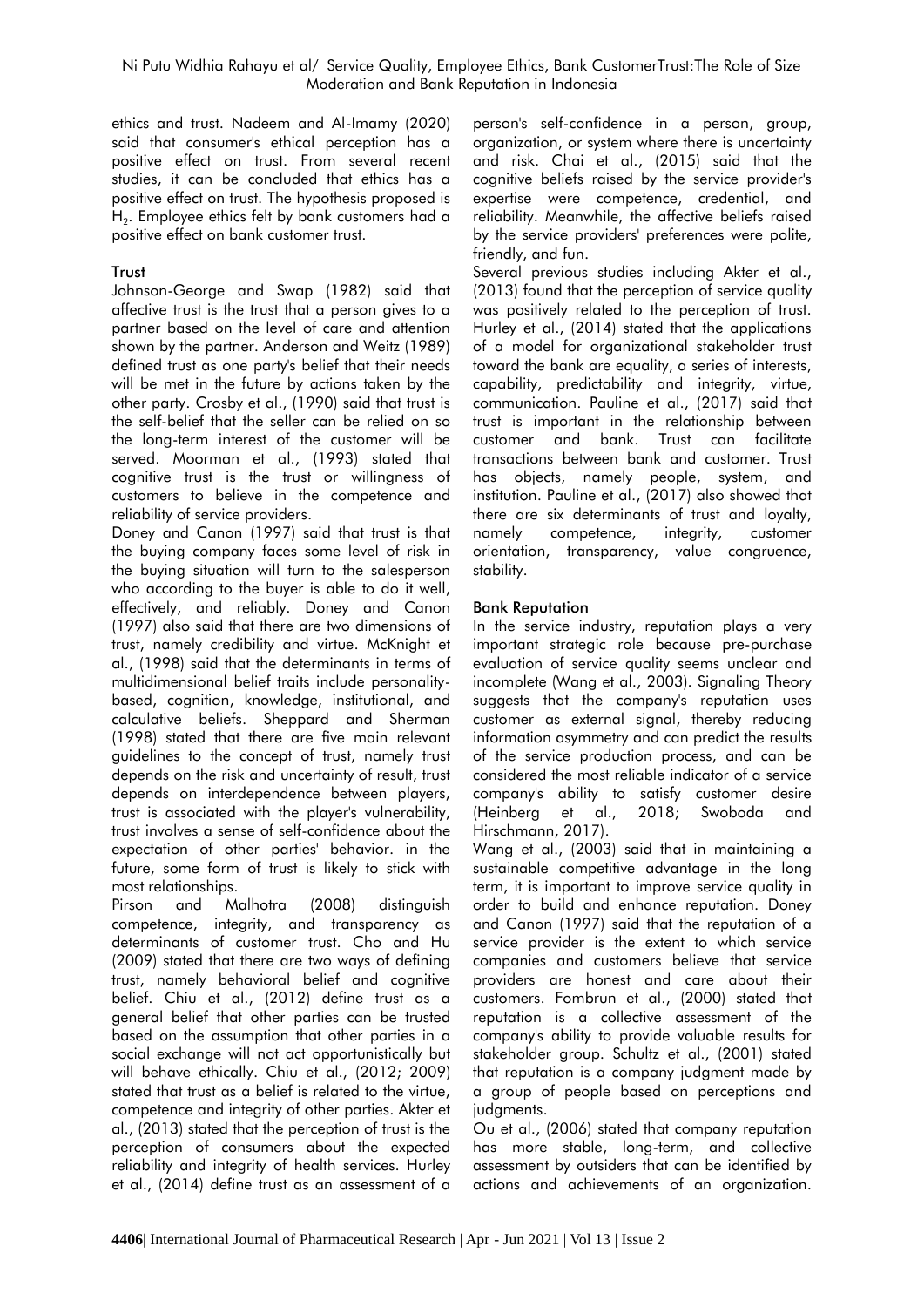ethics and trust. Nadeem and Al-Imamy (2020) said that consumer's ethical perception has a positive effect on trust. From several recent studies, it can be concluded that ethics has a positive effect on trust. The hypothesis proposed is  $\mathsf{H}_2$ . Employee ethics felt by bank customers had a positive effect on bank customer trust.

# **Trust**

Johnson-George and Swap (1982) said that affective trust is the trust that a person gives to a partner based on the level of care and attention shown by the partner. Anderson and Weitz (1989) defined trust as one party's belief that their needs will be met in the future by actions taken by the other party. Crosby et al., (1990) said that trust is the self-belief that the seller can be relied on so the long-term interest of the customer will be served. Moorman et al., (1993) stated that cognitive trust is the trust or willingness of customers to believe in the competence and reliability of service providers.

Doney and Canon (1997) said that trust is that the buying company faces some level of risk in the buying situation will turn to the salesperson who according to the buyer is able to do it well, effectively, and reliably. Doney and Canon (1997) also said that there are two dimensions of trust, namely credibility and virtue. McKnight et al., (1998) said that the determinants in terms of multidimensional belief traits include personalitybased, cognition, knowledge, institutional, and calculative beliefs. Sheppard and Sherman (1998) stated that there are five main relevant guidelines to the concept of trust, namely trust depends on the risk and uncertainty of result, trust depends on interdependence between players, trust is associated with the player's vulnerability, trust involves a sense of self-confidence about the expectation of other parties' behavior. in the future, some form of trust is likely to stick with most relationships.

Pirson and Malhotra (2008) distinguish competence, integrity, and transparency as determinants of customer trust. Cho and Hu (2009) stated that there are two ways of defining trust, namely behavioral belief and cognitive belief. Chiu et al., (2012) define trust as a general belief that other parties can be trusted based on the assumption that other parties in a social exchange will not act opportunistically but will behave ethically. Chiu et al., (2012; 2009) stated that trust as a belief is related to the virtue, competence and integrity of other parties. Akter et al., (2013) stated that the perception of trust is the perception of consumers about the expected reliability and integrity of health services. Hurley et al., (2014) define trust as an assessment of a

person's self-confidence in a person, group, organization, or system where there is uncertainty and risk. Chai et al., (2015) said that the cognitive beliefs raised by the service provider's expertise were competence, credential, and reliability. Meanwhile, the affective beliefs raised by the service providers' preferences were polite, friendly, and fun.

Several previous studies including Akter et al., (2013) found that the perception of service quality was positively related to the perception of trust. Hurley et al., (2014) stated that the applications of a model for organizational stakeholder trust toward the bank are equality, a series of interests, capability, predictability and integrity, virtue, communication. Pauline et al., (2017) said that trust is important in the relationship between customer and bank. Trust can facilitate transactions between bank and customer. Trust has objects, namely people, system, and institution. Pauline et al., (2017) also showed that there are six determinants of trust and loyalty, namely competence, integrity, customer orientation, transparency, value congruence, stability.

## **Bank Reputation**

In the service industry, reputation plays a very important strategic role because pre-purchase evaluation of service quality seems unclear and incomplete (Wang et al., 2003). Signaling Theory suggests that the company's reputation uses customer as external signal, thereby reducing information asymmetry and can predict the results of the service production process, and can be considered the most reliable indicator of a service company's ability to satisfy customer desire (Heinberg et al., 2018; Swoboda and Hirschmann, 2017).

Wang et al., (2003) said that in maintaining a sustainable competitive advantage in the long term, it is important to improve service quality in order to build and enhance reputation. Doney and Canon (1997) said that the reputation of a service provider is the extent to which service companies and customers believe that service providers are honest and care about their customers. Fombrun et al., (2000) stated that reputation is a collective assessment of the company's ability to provide valuable results for stakeholder group. Schultz et al., (2001) stated that reputation is a company judgment made by a group of people based on perceptions and judgments.

Ou et al., (2006) stated that company reputation has more stable, long-term, and collective assessment by outsiders that can be identified by actions and achievements of an organization.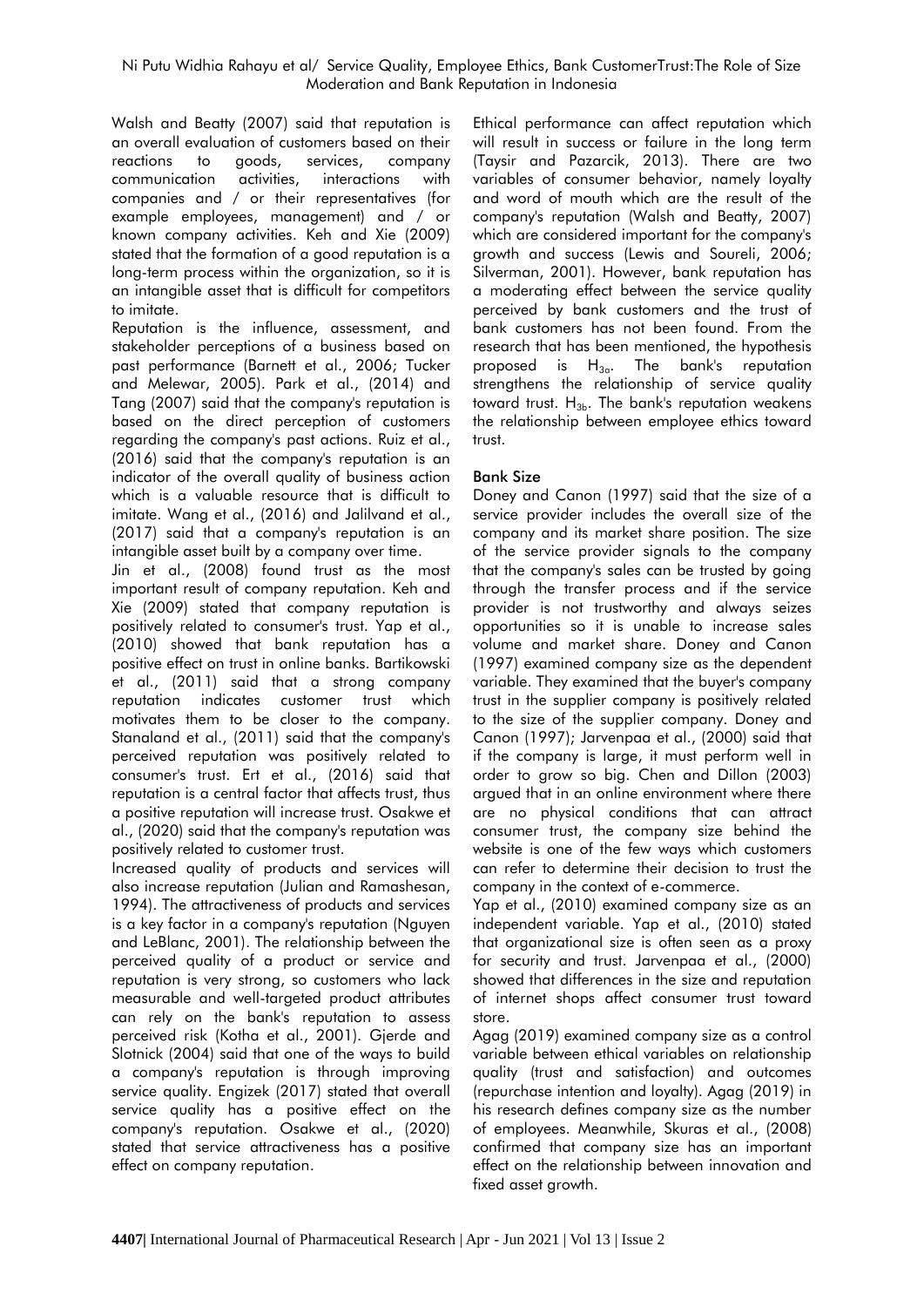Walsh and Beatty (2007) said that reputation is an overall evaluation of customers based on their reactions to goods, services, company communication activities, interactions with companies and / or their representatives (for example employees, management) and / or known company activities. Keh and Xie (2009) stated that the formation of a good reputation is a long-term process within the organization, so it is an intangible asset that is difficult for competitors to imitate.

Reputation is the influence, assessment, and stakeholder perceptions of a business based on past performance (Barnett et al., 2006; Tucker and Melewar, 2005). Park et al., (2014) and Tang (2007) said that the company's reputation is based on the direct perception of customers regarding the company's past actions. Ruiz et al., (2016) said that the company's reputation is an indicator of the overall quality of business action which is a valuable resource that is difficult to imitate. Wang et al., (2016) and Jalilvand et al., (2017) said that a company's reputation is an intangible asset built by a company over time.

Jin et al., (2008) found trust as the most important result of company reputation. Keh and Xie (2009) stated that company reputation is positively related to consumer's trust. Yap et al., (2010) showed that bank reputation has a positive effect on trust in online banks. Bartikowski et al., (2011) said that a strong company reputation indicates customer trust which motivates them to be closer to the company. Stanaland et al., (2011) said that the company's perceived reputation was positively related to consumer's trust. Ert et al., (2016) said that reputation is a central factor that affects trust, thus a positive reputation will increase trust. Osakwe et al., (2020) said that the company's reputation was positively related to customer trust.

Increased quality of products and services will also increase reputation (Julian and Ramashesan, 1994). The attractiveness of products and services is a key factor in a company's reputation (Nguyen and LeBlanc, 2001). The relationship between the perceived quality of a product or service and reputation is very strong, so customers who lack measurable and well-targeted product attributes can rely on the bank's reputation to assess perceived risk (Kotha et al., 2001). Gjerde and Slotnick (2004) said that one of the ways to build a company's reputation is through improving service quality. Engizek (2017) stated that overall service quality has a positive effect on the company's reputation. Osakwe et al., (2020) stated that service attractiveness has a positive effect on company reputation.

Ethical performance can affect reputation which will result in success or failure in the long term (Taysir and Pazarcik, 2013). There are two variables of consumer behavior, namely loyalty and word of mouth which are the result of the company's reputation (Walsh and Beatty, 2007) which are considered important for the company's growth and success (Lewis and Soureli, 2006; Silverman, 2001). However, bank reputation has a moderating effect between the service quality perceived by bank customers and the trust of bank customers has not been found. From the research that has been mentioned, the hypothesis proposed is  $H_{3a}$ . The bank's reputation strengthens the relationship of service quality toward trust.  $H_{3b}$ . The bank's reputation weakens the relationship between employee ethics toward trust.

# **Bank Size**

Doney and Canon (1997) said that the size of a service provider includes the overall size of the company and its market share position. The size of the service provider signals to the company that the company's sales can be trusted by going through the transfer process and if the service provider is not trustworthy and always seizes opportunities so it is unable to increase sales volume and market share. Doney and Canon (1997) examined company size as the dependent variable. They examined that the buyer's company trust in the supplier company is positively related to the size of the supplier company. Doney and Canon (1997); Jarvenpaa et al., (2000) said that if the company is large, it must perform well in order to grow so big. Chen and Dillon (2003) argued that in an online environment where there are no physical conditions that can attract consumer trust, the company size behind the website is one of the few ways which customers can refer to determine their decision to trust the company in the context of e-commerce.

Yap et al., (2010) examined company size as an independent variable. Yap et al., (2010) stated that organizational size is often seen as a proxy for security and trust. Jarvenpaa et al., (2000) showed that differences in the size and reputation of internet shops affect consumer trust toward store.

Agag (2019) examined company size as a control variable between ethical variables on relationship quality (trust and satisfaction) and outcomes (repurchase intention and loyalty). Agag (2019) in his research defines company size as the number of employees. Meanwhile, Skuras et al., (2008) confirmed that company size has an important effect on the relationship between innovation and fixed asset growth.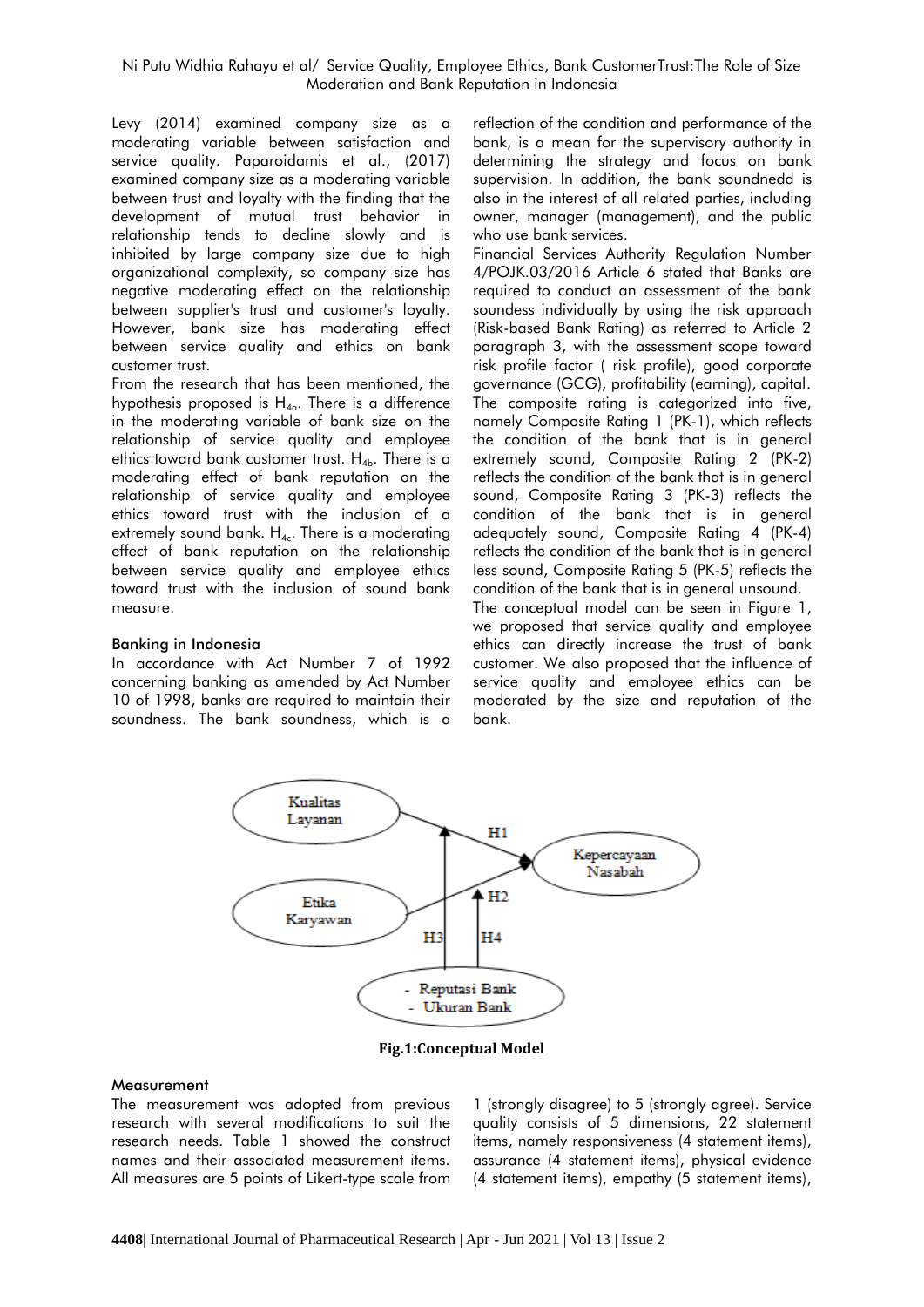Levy (2014) examined company size as a moderating variable between satisfaction and service quality. Paparoidamis et al., (2017) examined company size as a moderating variable between trust and loyalty with the finding that the development of mutual trust behavior in relationship tends to decline slowly and is inhibited by large company size due to high organizational complexity, so company size has negative moderating effect on the relationship between supplier's trust and customer's loyalty. However, bank size has moderating effect between service quality and ethics on bank customer trust.

From the research that has been mentioned, the hypothesis proposed is  $H_{40}$ . There is a difference in the moderating variable of bank size on the relationship of service quality and employee ethics toward bank customer trust.  $H_{4b}$ . There is a moderating effect of bank reputation on the relationship of service quality and employee ethics toward trust with the inclusion of a extremely sound bank.  $H_{4c}$ . There is a moderating effect of bank reputation on the relationship between service quality and employee ethics toward trust with the inclusion of sound bank measure.

#### **Banking in Indonesia**

In accordance with Act Number 7 of 1992 concerning banking as amended by Act Number 10 of 1998, banks are required to maintain their soundness. The bank soundness, which is a

reflection of the condition and performance of the bank, is a mean for the supervisory authority in determining the strategy and focus on bank supervision. In addition, the bank soundnedd is also in the interest of all related parties, including owner, manager (management), and the public who use bank services.

Financial Services Authority Regulation Number 4/POJK.03/2016 Article 6 stated that Banks are required to conduct an assessment of the bank soundess individually by using the risk approach (Risk-based Bank Rating) as referred to Article 2 paragraph 3, with the assessment scope toward risk profile factor ( risk profile), good corporate governance (GCG), profitability (earning), capital. The composite rating is categorized into five, namely Composite Rating 1 (PK-1), which reflects the condition of the bank that is in general extremely sound, Composite Rating 2 (PK-2) reflects the condition of the bank that is in general sound, Composite Rating 3 (PK-3) reflects the condition of the bank that is in general adequately sound, Composite Rating 4 (PK-4) reflects the condition of the bank that is in general less sound, Composite Rating 5 (PK-5) reflects the condition of the bank that is in general unsound.

The conceptual model can be seen in Figure 1, we proposed that service quality and employee ethics can directly increase the trust of bank customer. We also proposed that the influence of service quality and employee ethics can be moderated by the size and reputation of the bank.



**Fig.1:Conceptual Model**

#### **Measurement**

The measurement was adopted from previous research with several modifications to suit the research needs. Table 1 showed the construct names and their associated measurement items. All measures are 5 points of Likert-type scale from

1 (strongly disagree) to 5 (strongly agree). Service quality consists of 5 dimensions, 22 statement items, namely responsiveness (4 statement items), assurance (4 statement items), physical evidence (4 statement items), empathy (5 statement items),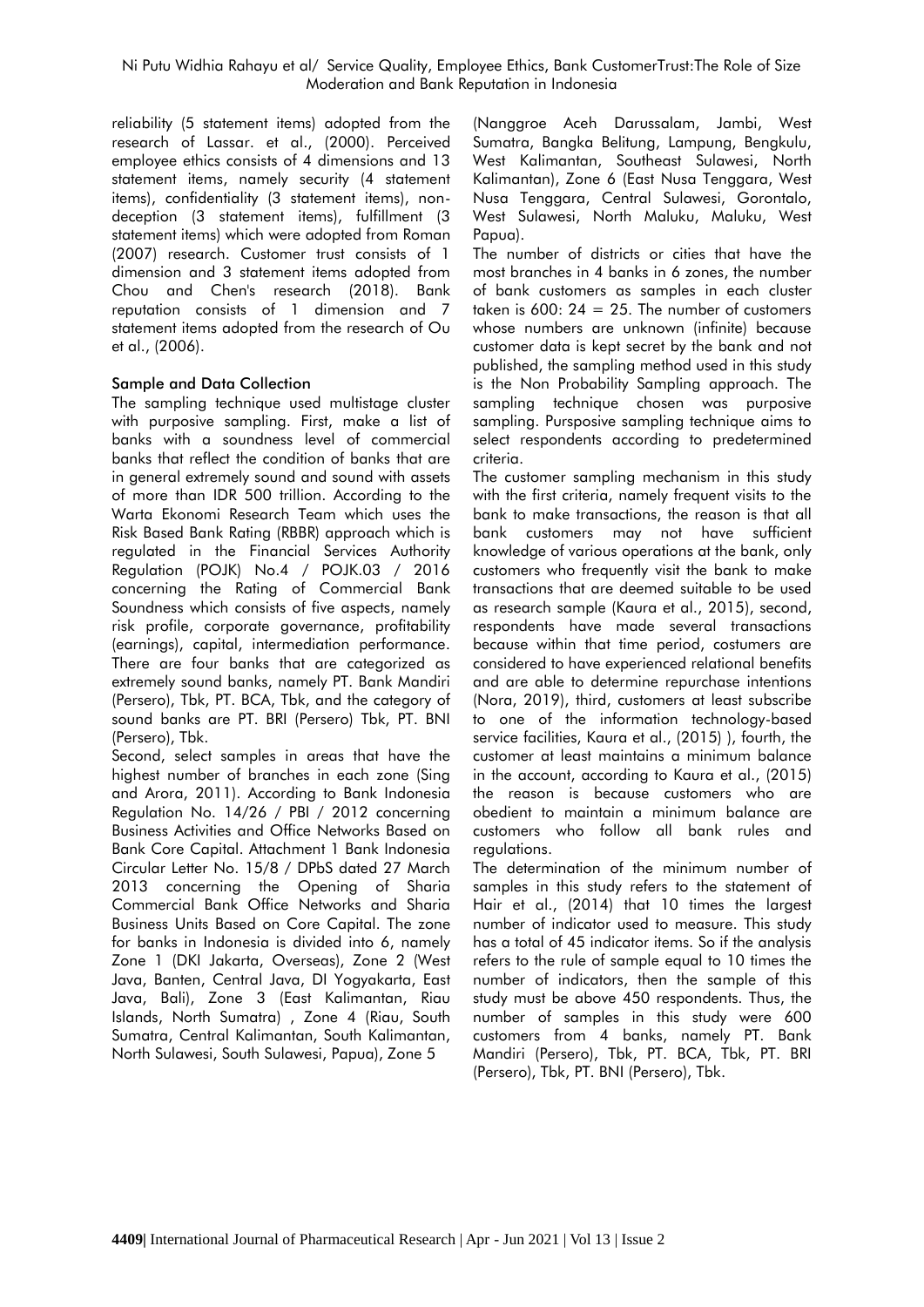reliability (5 statement items) adopted from the research of Lassar. et al., (2000). Perceived employee ethics consists of 4 dimensions and 13 statement items, namely security (4 statement items), confidentiality (3 statement items), nondeception (3 statement items), fulfillment (3 statement items) which were adopted from Roman (2007) research. Customer trust consists of 1 dimension and 3 statement items adopted from Chou and Chen's research (2018). Bank reputation consists of 1 dimension and 7 statement items adopted from the research of Ou et al., (2006).

## **Sample and Data Collection**

The sampling technique used multistage cluster with purposive sampling. First, make a list of banks with a soundness level of commercial banks that reflect the condition of banks that are in general extremely sound and sound with assets of more than IDR 500 trillion. According to the Warta Ekonomi Research Team which uses the Risk Based Bank Rating (RBBR) approach which is regulated in the Financial Services Authority Regulation (POJK) No.4 / POJK.03 / 2016 concerning the Rating of Commercial Bank Soundness which consists of five aspects, namely risk profile, corporate governance, profitability (earnings), capital, intermediation performance. There are four banks that are categorized as extremely sound banks, namely PT. Bank Mandiri (Persero), Tbk, PT. BCA, Tbk, and the category of sound banks are PT. BRI (Persero) Tbk, PT. BNI (Persero), Tbk.

Second, select samples in areas that have the highest number of branches in each zone (Sing and Arora, 2011). According to Bank Indonesia Regulation No. 14/26 / PBI / 2012 concerning Business Activities and Office Networks Based on Bank Core Capital. Attachment 1 Bank Indonesia Circular Letter No. 15/8 / DPbS dated 27 March 2013 concerning the Opening of Sharia Commercial Bank Office Networks and Sharia Business Units Based on Core Capital. The zone for banks in Indonesia is divided into 6, namely Zone 1 (DKI Jakarta, Overseas), Zone 2 (West Java, Banten, Central Java, DI Yogyakarta, East Java, Bali), Zone 3 (East Kalimantan, Riau Islands, North Sumatra) , Zone 4 (Riau, South Sumatra, Central Kalimantan, South Kalimantan, North Sulawesi, South Sulawesi, Papua), Zone 5

(Nanggroe Aceh Darussalam, Jambi, West Sumatra, Bangka Belitung, Lampung, Bengkulu, West Kalimantan, Southeast Sulawesi, North Kalimantan), Zone 6 (East Nusa Tenggara, West Nusa Tenggara, Central Sulawesi, Gorontalo, West Sulawesi, North Maluku, Maluku, West Papua).

The number of districts or cities that have the most branches in 4 banks in 6 zones, the number of bank customers as samples in each cluster taken is  $600: 24 = 25$ . The number of customers whose numbers are unknown (infinite) because customer data is kept secret by the bank and not published, the sampling method used in this study is the Non Probability Sampling approach. The sampling technique chosen was purposive sampling. Pursposive sampling technique aims to select respondents according to predetermined criteria.

The customer sampling mechanism in this study with the first criteria, namely frequent visits to the bank to make transactions, the reason is that all bank customers may not have sufficient knowledge of various operations at the bank, only customers who frequently visit the bank to make transactions that are deemed suitable to be used as research sample (Kaura et al., 2015), second, respondents have made several transactions because within that time period, costumers are considered to have experienced relational benefits and are able to determine repurchase intentions (Nora, 2019), third, customers at least subscribe to one of the information technology-based service facilities, Kaura et al., (2015) ), fourth, the customer at least maintains a minimum balance in the account, according to Kaura et al., (2015) the reason is because customers who are obedient to maintain a minimum balance are customers who follow all bank rules and regulations.

The determination of the minimum number of samples in this study refers to the statement of Hair et al., (2014) that 10 times the largest number of indicator used to measure. This study has a total of 45 indicator items. So if the analysis refers to the rule of sample equal to 10 times the number of indicators, then the sample of this study must be above 450 respondents. Thus, the number of samples in this study were 600 customers from 4 banks, namely PT. Bank Mandiri (Persero), Tbk, PT. BCA, Tbk, PT. BRI (Persero), Tbk, PT. BNI (Persero), Tbk.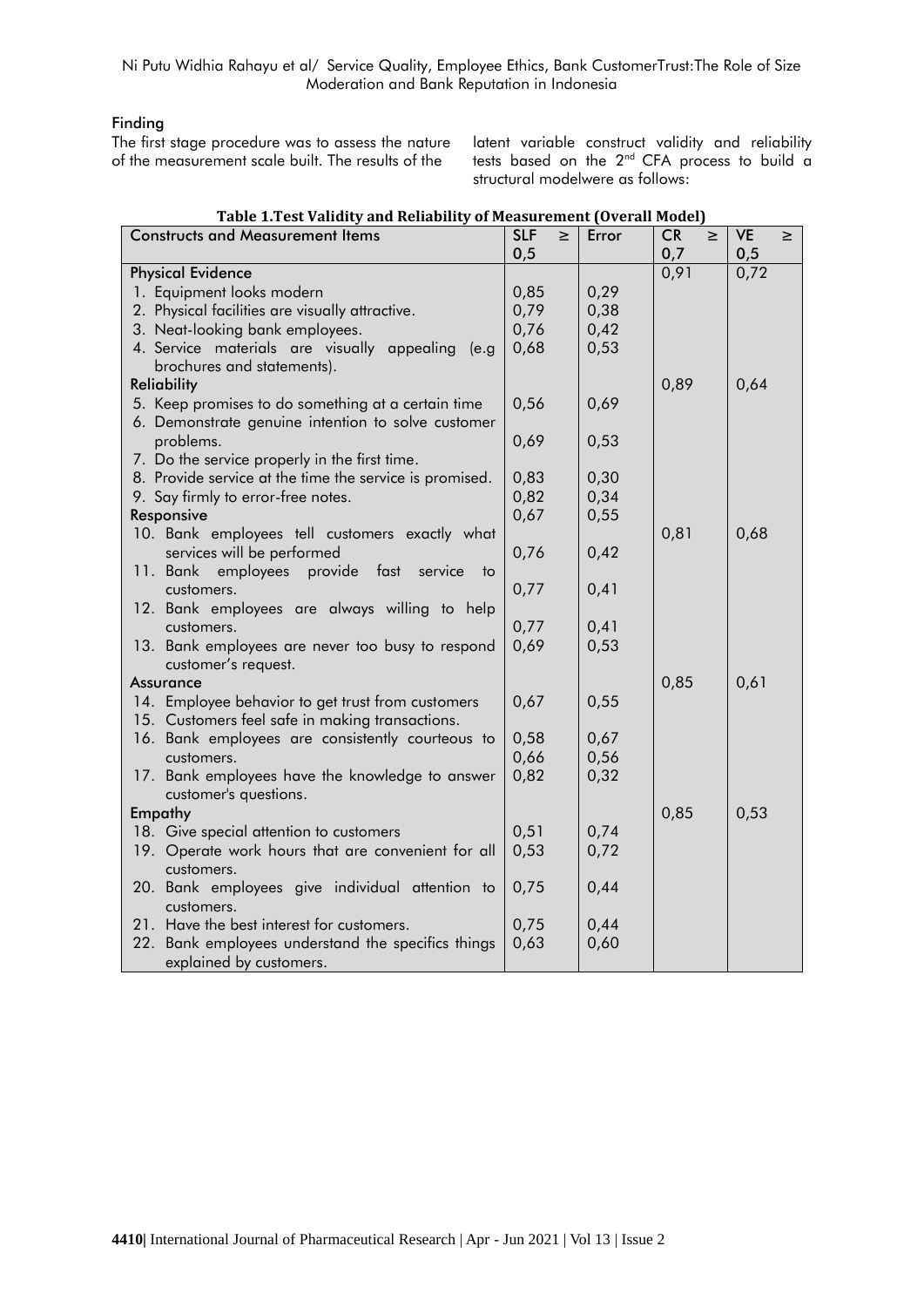# **Finding**

The first stage procedure was to assess the nature of the measurement scale built. The results of the

latent variable construct validity and reliability tests based on the 2<sup>nd</sup> CFA process to build a structural modelwere as follows:

| <b>Constructs and Measurement Items</b>                                            | <b>SLF</b> | $\geq$ | Error | <b>CR</b>   | $\geq$ | <b>VE</b> | $\geq$ |
|------------------------------------------------------------------------------------|------------|--------|-------|-------------|--------|-----------|--------|
| <b>Physical Evidence</b>                                                           | 0,5        |        |       | 0,7<br>0,91 |        | 0,5       |        |
|                                                                                    | 0,85       |        | 0,29  |             |        | 0,72      |        |
| 1. Equipment looks modern                                                          |            |        |       |             |        |           |        |
| 2. Physical facilities are visually attractive.                                    | 0,79       |        | 0,38  |             |        |           |        |
| 3. Neat-looking bank employees.                                                    | 0,76       |        | 0,42  |             |        |           |        |
| 4. Service materials are visually appealing<br>(e.g.<br>brochures and statements). | 0,68       |        | 0,53  |             |        |           |        |
| <b>Reliability</b>                                                                 |            |        |       | 0,89        |        | 0,64      |        |
| 5. Keep promises to do something at a certain time                                 | 0,56       |        | 0,69  |             |        |           |        |
| 6. Demonstrate genuine intention to solve customer                                 |            |        |       |             |        |           |        |
| problems.                                                                          | 0,69       |        | 0,53  |             |        |           |        |
| 7. Do the service properly in the first time.                                      |            |        |       |             |        |           |        |
| 8. Provide service at the time the service is promised.                            | 0,83       |        | 0,30  |             |        |           |        |
| 9. Say firmly to error-free notes.                                                 | 0,82       |        | 0,34  |             |        |           |        |
| Responsive                                                                         | 0,67       |        | 0,55  |             |        |           |        |
| 10. Bank employees tell customers exactly what                                     |            |        |       | 0,81        |        | 0,68      |        |
| services will be performed                                                         | 0,76       |        | 0,42  |             |        |           |        |
| provide fast<br>11. Bank<br>employees<br>service<br>⊟ to                           |            |        |       |             |        |           |        |
| customers.                                                                         | 0,77       |        | 0,41  |             |        |           |        |
| 12. Bank employees are always willing to help                                      |            |        |       |             |        |           |        |
| customers.                                                                         | 0,77       |        | 0,41  |             |        |           |        |
| 13. Bank employees are never too busy to respond                                   | 0,69       |        | 0,53  |             |        |           |        |
| customer's request.                                                                |            |        |       |             |        |           |        |
| Assurance                                                                          |            |        |       | 0,85        |        | 0,61      |        |
| 14. Employee behavior to get trust from customers                                  | 0,67       |        | 0,55  |             |        |           |        |
| 15. Customers feel safe in making transactions.                                    |            |        |       |             |        |           |        |
| 16. Bank employees are consistently courteous to                                   | 0,58       |        | 0,67  |             |        |           |        |
| customers.                                                                         | 0,66       |        | 0,56  |             |        |           |        |
| 17. Bank employees have the knowledge to answer                                    | 0,82       |        | 0,32  |             |        |           |        |
| customer's questions.                                                              |            |        |       |             |        |           |        |
| Empathy                                                                            |            |        |       | 0,85        |        | 0,53      |        |
| 18. Give special attention to customers                                            | 0,51       |        | 0,74  |             |        |           |        |
| 19. Operate work hours that are convenient for all                                 | 0,53       |        | 0,72  |             |        |           |        |
| customers.                                                                         |            |        |       |             |        |           |        |
| 20. Bank employees give individual attention to                                    | 0,75       |        | 0,44  |             |        |           |        |
| customers.                                                                         |            |        |       |             |        |           |        |
| 21. Have the best interest for customers.                                          | 0,75       |        | 0,44  |             |        |           |        |
| 22. Bank employees understand the specifics things                                 | 0,63       |        | 0,60  |             |        |           |        |
| explained by customers.                                                            |            |        |       |             |        |           |        |

#### **Table 1.Test Validity and Reliability of Measurement (Overall Model)**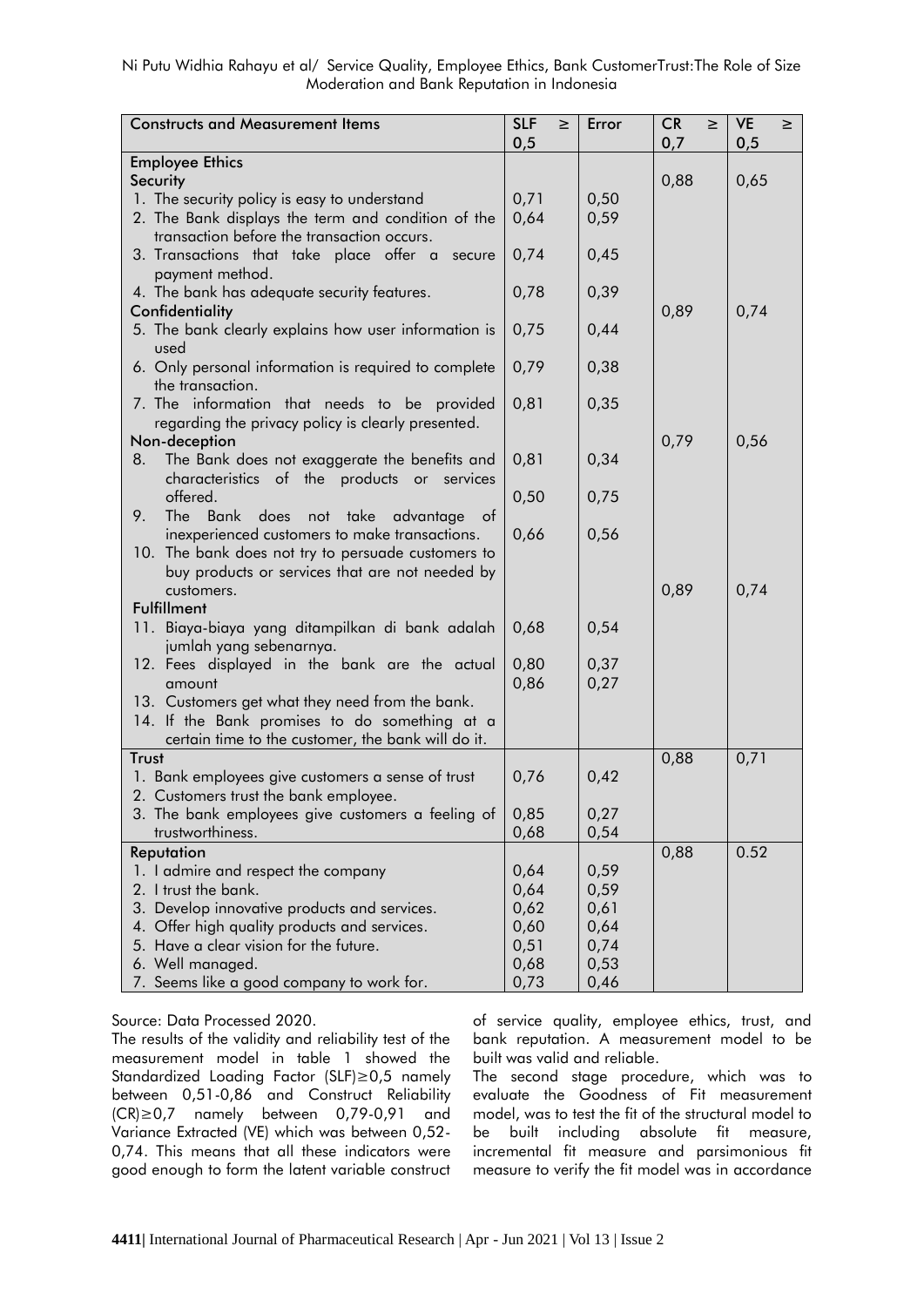| <b>Constructs and Measurement Items</b>                                    | <b>SLF</b><br>$\geq$<br>0,5 | Error | <b>CR</b><br>$\geq$<br>0,7 | <b>VE</b><br>≥<br>0,5 |
|----------------------------------------------------------------------------|-----------------------------|-------|----------------------------|-----------------------|
| <b>Employee Ethics</b>                                                     |                             |       |                            |                       |
| Security                                                                   |                             |       | 0,88                       | 0,65                  |
| 1. The security policy is easy to understand                               | 0,71                        | 0,50  |                            |                       |
| 2. The Bank displays the term and condition of the                         | 0,64                        | 0,59  |                            |                       |
| transaction before the transaction occurs.                                 |                             |       |                            |                       |
| 3. Transactions that take place offer a<br>secure                          | 0,74                        | 0,45  |                            |                       |
| payment method.                                                            |                             |       |                            |                       |
| 4. The bank has adequate security features.                                | 0,78                        | 0,39  |                            |                       |
| Confidentiality                                                            |                             |       | 0,89                       | 0,74                  |
| 5. The bank clearly explains how user information is                       | 0,75                        | 0,44  |                            |                       |
| used                                                                       |                             |       |                            |                       |
| 6. Only personal information is required to complete                       | 0,79                        | 0,38  |                            |                       |
| the transaction.                                                           |                             |       |                            |                       |
| 7. The information that needs to be provided                               | 0,81                        | 0,35  |                            |                       |
| regarding the privacy policy is clearly presented.                         |                             |       |                            |                       |
| Non-deception                                                              |                             |       | 0,79                       | 0,56                  |
| The Bank does not exaggerate the benefits and<br>8.                        | 0,81                        | 0,34  |                            |                       |
| characteristics of the products or services                                |                             |       |                            |                       |
| offered.                                                                   | 0,50                        | 0,75  |                            |                       |
| 9.<br>The Bank does<br>not take advantage<br>ot                            |                             |       |                            |                       |
| inexperienced customers to make transactions.                              | 0,66                        | 0,56  |                            |                       |
| 10. The bank does not try to persuade customers to                         |                             |       |                            |                       |
| buy products or services that are not needed by                            |                             |       |                            |                       |
| customers.                                                                 |                             |       | 0,89                       | 0,74                  |
| <b>Fulfillment</b>                                                         |                             |       |                            |                       |
| 11. Biaya-biaya yang ditampilkan di bank adalah<br>jumlah yang sebenarnya. | 0,68                        | 0,54  |                            |                       |
| 12. Fees displayed in the bank are the actual                              | 0,80                        | 0,37  |                            |                       |
| amount                                                                     | 0,86                        | 0,27  |                            |                       |
| 13. Customers get what they need from the bank.                            |                             |       |                            |                       |
| 14. If the Bank promises to do something at a                              |                             |       |                            |                       |
| certain time to the customer, the bank will do it.                         |                             |       |                            |                       |
| Trust                                                                      |                             |       | 0,88                       | 0,71                  |
| 1. Bank employees give customers a sense of trust                          | 0,76                        | 0,42  |                            |                       |
| 2. Customers trust the bank employee.                                      |                             |       |                            |                       |
| 3. The bank employees give customers a feeling of                          | 0,85                        | 0,27  |                            |                       |
| trustworthiness.                                                           | 0,68                        | 0,54  |                            |                       |
| Reputation                                                                 |                             |       | 0,88                       | 0.52                  |
| 1. I admire and respect the company                                        | 0,64                        | 0,59  |                            |                       |
| 2. I trust the bank.                                                       | 0,64                        | 0,59  |                            |                       |
| 3. Develop innovative products and services.                               | 0,62                        | 0,61  |                            |                       |
| 4. Offer high quality products and services.                               | 0,60                        | 0,64  |                            |                       |
| 5. Have a clear vision for the future.                                     | 0,51                        | 0,74  |                            |                       |
| 6. Well managed.                                                           | 0,68                        | 0,53  |                            |                       |
| 7. Seems like a good company to work for.                                  | 0,73                        | 0,46  |                            |                       |

Source: Data Processed 2020.

The results of the validity and reliability test of the measurement model in table 1 showed the Standardized Loading Factor (SLF)≥0,5 namely between 0,51-0,86 and Construct Reliability (CR)≥0,7 namely between 0,79-0,91 and Variance Extracted (VE) which was between 0,52- 0,74. This means that all these indicators were good enough to form the latent variable construct

of service quality, employee ethics, trust, and bank reputation. A measurement model to be built was valid and reliable.

The second stage procedure, which was to evaluate the Goodness of Fit measurement model, was to test the fit of the structural model to be built including absolute fit measure, incremental fit measure and parsimonious fit measure to verify the fit model was in accordance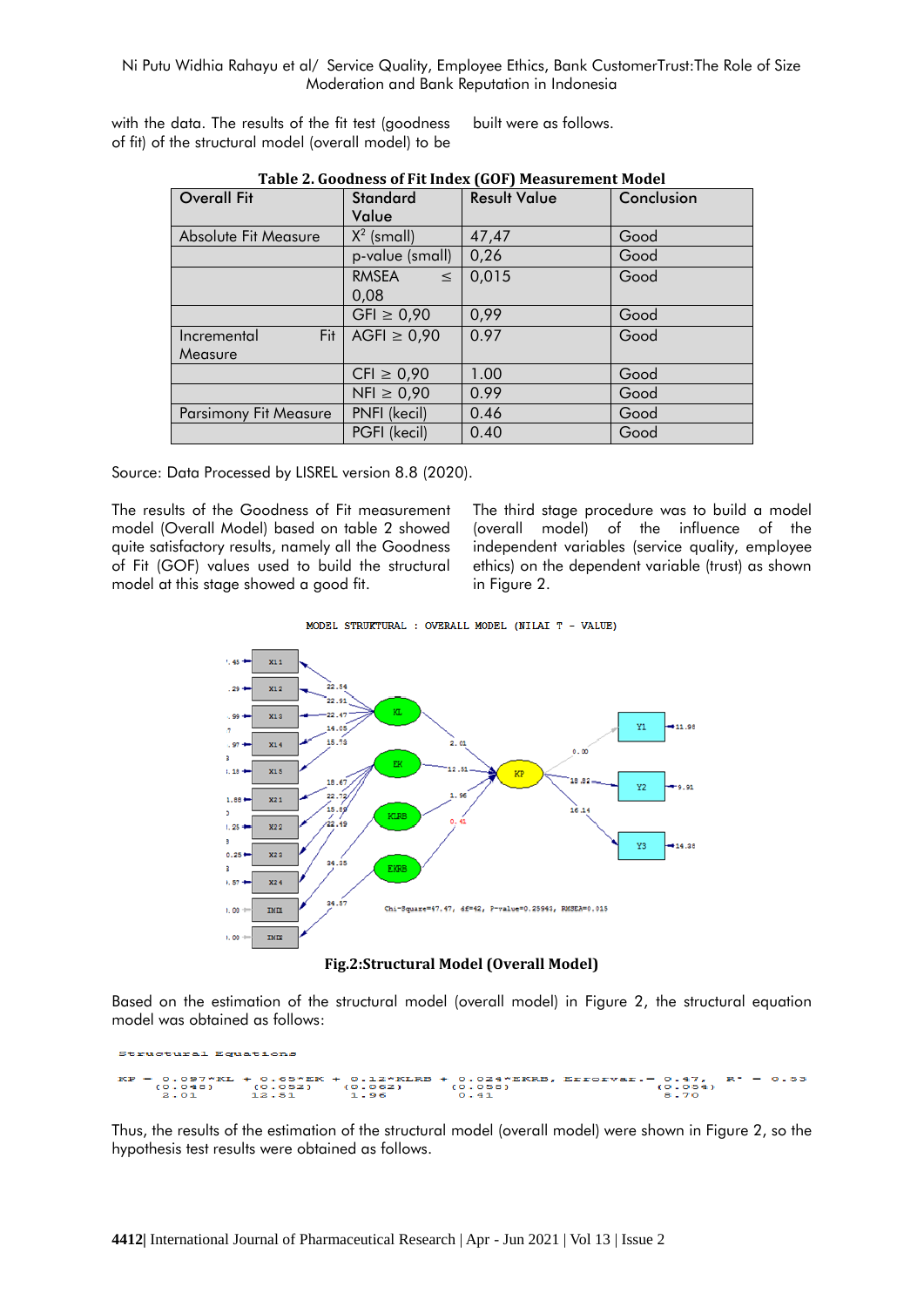with the data. The results of the fit test (goodness of fit) of the structural model (overall model) to be built were as follows.

| Table 2. Goodness of Fit Higgs (GOF) Measurement Model |                        |                     |            |  |  |  |  |
|--------------------------------------------------------|------------------------|---------------------|------------|--|--|--|--|
| <b>Overall Fit</b>                                     | <b>Standard</b>        | <b>Result Value</b> | Conclusion |  |  |  |  |
|                                                        | Value                  |                     |            |  |  |  |  |
| Absolute Fit Measure                                   | $X^2$ (small)          | 47,47               | Good       |  |  |  |  |
|                                                        | p-value (small)        | 0,26                | Good       |  |  |  |  |
|                                                        | <b>RMSEA</b><br>$\leq$ | 0,015               | Good       |  |  |  |  |
|                                                        | 0,08                   |                     |            |  |  |  |  |
|                                                        | $GF \ge 0.90$          | 0,99                | Good       |  |  |  |  |
| Fit  <br>Incremental                                   | AGFI $\geq 0.90$       | 0.97                | Good       |  |  |  |  |
| Measure                                                |                        |                     |            |  |  |  |  |
|                                                        | $CFI \geq 0.90$        | 1.00                | Good       |  |  |  |  |
|                                                        | $NFI \geq 0.90$        | 0.99                | Good       |  |  |  |  |
| <b>Parsimony Fit Measure</b>                           | PNFI (kecil)           | 0.46                | Good       |  |  |  |  |
|                                                        | PGFI (kecil)           | 0.40                | Good       |  |  |  |  |

| Table 2. Goodness of Fit Index (GOF) Measurement Model |  |
|--------------------------------------------------------|--|
|                                                        |  |

Source: Data Processed by LISREL version 8.8 (2020).

The results of the Goodness of Fit measurement model (Overall Model) based on table 2 showed quite satisfactory results, namely all the Goodness of Fit (GOF) values used to build the structural model at this stage showed a good fit.

The third stage procedure was to build a model (overall model) of the influence of the independent variables (service quality, employee ethics) on the dependent variable (trust) as shown in Figure 2.

MODEL STRUKTURAL : OVERALL MODEL (NILAI T - VALUE)





Based on the estimation of the structural model (overall model) in Figure 2, the structural equation model was obtained as follows:

tural Equatic  $0.12*KLRB + 0.024*KRRB, Errorvar. = 0.47, R^2 = 0.53$ <br>(0.062) (0.058) (0.41 (0.064)<br>0.41 (0.070  $(0.052)$ <br>12.51  $.048$ 

Thus, the results of the estimation of the structural model (overall model) were shown in Figure 2, so the hypothesis test results were obtained as follows.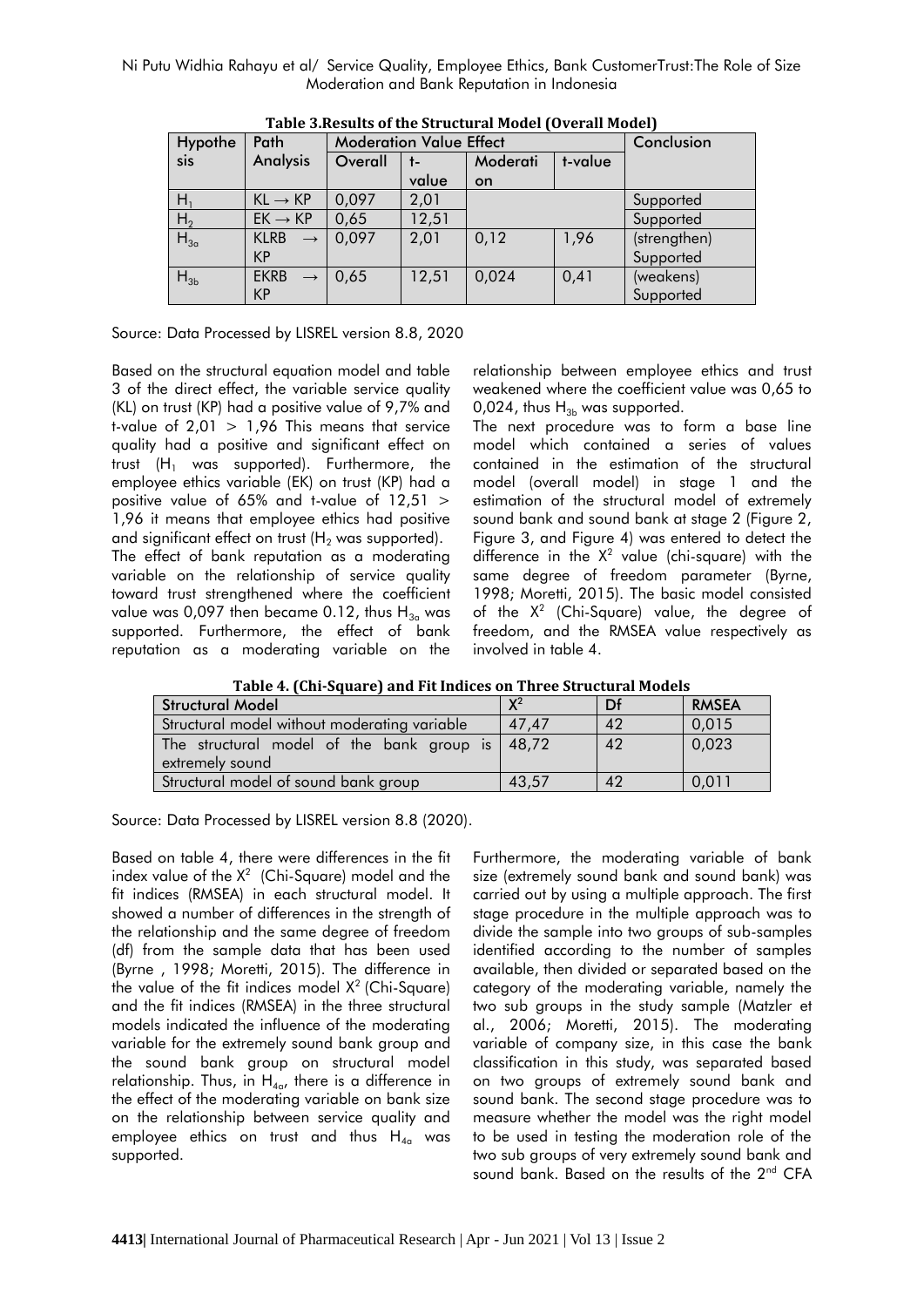| Hypothe        | Path                             | <b>Moderation Value Effect</b> |       | Conclusion          |      |              |
|----------------|----------------------------------|--------------------------------|-------|---------------------|------|--------------|
| sis            | <b>Analysis</b>                  | Overall                        | t-    | Moderati<br>t-value |      |              |
|                |                                  |                                | value | on                  |      |              |
| H <sub>1</sub> | $KL \rightarrow KP$              | 0,097                          | 2,01  |                     |      | Supported    |
| H <sub>2</sub> | $EK \rightarrow KP$              | 0,65                           | 12,51 |                     |      | Supported    |
| $H_{3a}$       | <b>KLRB</b><br>$\longrightarrow$ | 0,097                          | 2,01  | 0,12                | 1,96 | (strengthen) |
|                | KP                               |                                |       |                     |      | Supported    |
| $H_{3b}$       | <b>EKRB</b><br>$\longrightarrow$ | 0,65                           | 12,51 | 0,024               | 0,41 | (weakens)    |
|                | KP                               |                                |       |                     |      | Supported    |

**Table 3.Results of the Structural Model (Overall Model)**

Source: Data Processed by LISREL version 8.8, 2020

Based on the structural equation model and table 3 of the direct effect, the variable service quality (KL) on trust (KP) had a positive value of 9,7% and t-value of  $2,01 > 1,96$  This means that service quality had a positive and significant effect on trust  $(H_1$  was supported). Furthermore, the employee ethics variable (EK) on trust (KP) had a positive value of 65% and t-value of 12,51 > 1,96 it means that employee ethics had positive and significant effect on trust  $(H_2$  was supported).

The effect of bank reputation as a moderating variable on the relationship of service quality toward trust strengthened where the coefficient value was 0,097 then became 0.12, thus  $H_{3a}$  was supported. Furthermore, the effect of bank reputation as a moderating variable on the

relationship between employee ethics and trust weakened where the coefficient value was 0,65 to 0,024, thus  $H_{3b}$  was supported.

The next procedure was to form a base line model which contained a series of values contained in the estimation of the structural model (overall model) in stage 1 and the estimation of the structural model of extremely sound bank and sound bank at stage 2 (Figure 2, Figure 3, and Figure 4) was entered to detect the difference in the  $X^2$  value (chi-square) with the same degree of freedom parameter (Byrne, 1998; Moretti, 2015). The basic model consisted of the  $X^2$  (Chi-Square) value, the degree of freedom, and the RMSEA value respectively as involved in table 4.

**Table 4. (Chi-Square) and Fit Indices on Three Structural Models**

| <b>Structural Model</b>                           | $\mathbf{Y}^2$ | Df        | <b>RMSEA</b> |
|---------------------------------------------------|----------------|-----------|--------------|
| Structural model without moderating variable      | 47,47          | 42        | 0,015        |
| The structural model of the bank group is   48,72 |                | 42        | 0,023        |
| extremely sound                                   |                |           |              |
| Structural model of sound bank group              | 43.57          | $\Lambda$ | 0,011        |

Source: Data Processed by LISREL version 8.8 (2020).

Based on table 4, there were differences in the fit index value of the  $X^2$  (Chi-Square) model and the fit indices (RMSEA) in each structural model. It showed a number of differences in the strength of the relationship and the same degree of freedom (df) from the sample data that has been used (Byrne, 1998; Moretti, 2015). The difference in the value of the fit indices model  $X^2$  (Chi-Square) and the fit indices (RMSEA) in the three structural models indicated the influence of the moderating variable for the extremely sound bank group and the sound bank group on structural model relationship. Thus, in  $H_{4\alpha}$ , there is a difference in the effect of the moderating variable on bank size on the relationship between service quality and employee ethics on trust and thus  $H_{4a}$  was supported.

Furthermore, the moderating variable of bank size (extremely sound bank and sound bank) was carried out by using a multiple approach. The first stage procedure in the multiple approach was to divide the sample into two groups of sub-samples identified according to the number of samples available, then divided or separated based on the category of the moderating variable, namely the two sub groups in the study sample (Matzler et al., 2006; Moretti, 2015). The moderating variable of company size, in this case the bank classification in this study, was separated based on two groups of extremely sound bank and sound bank. The second stage procedure was to measure whether the model was the right model to be used in testing the moderation role of the two sub groups of very extremely sound bank and sound bank. Based on the results of the 2<sup>nd</sup> CFA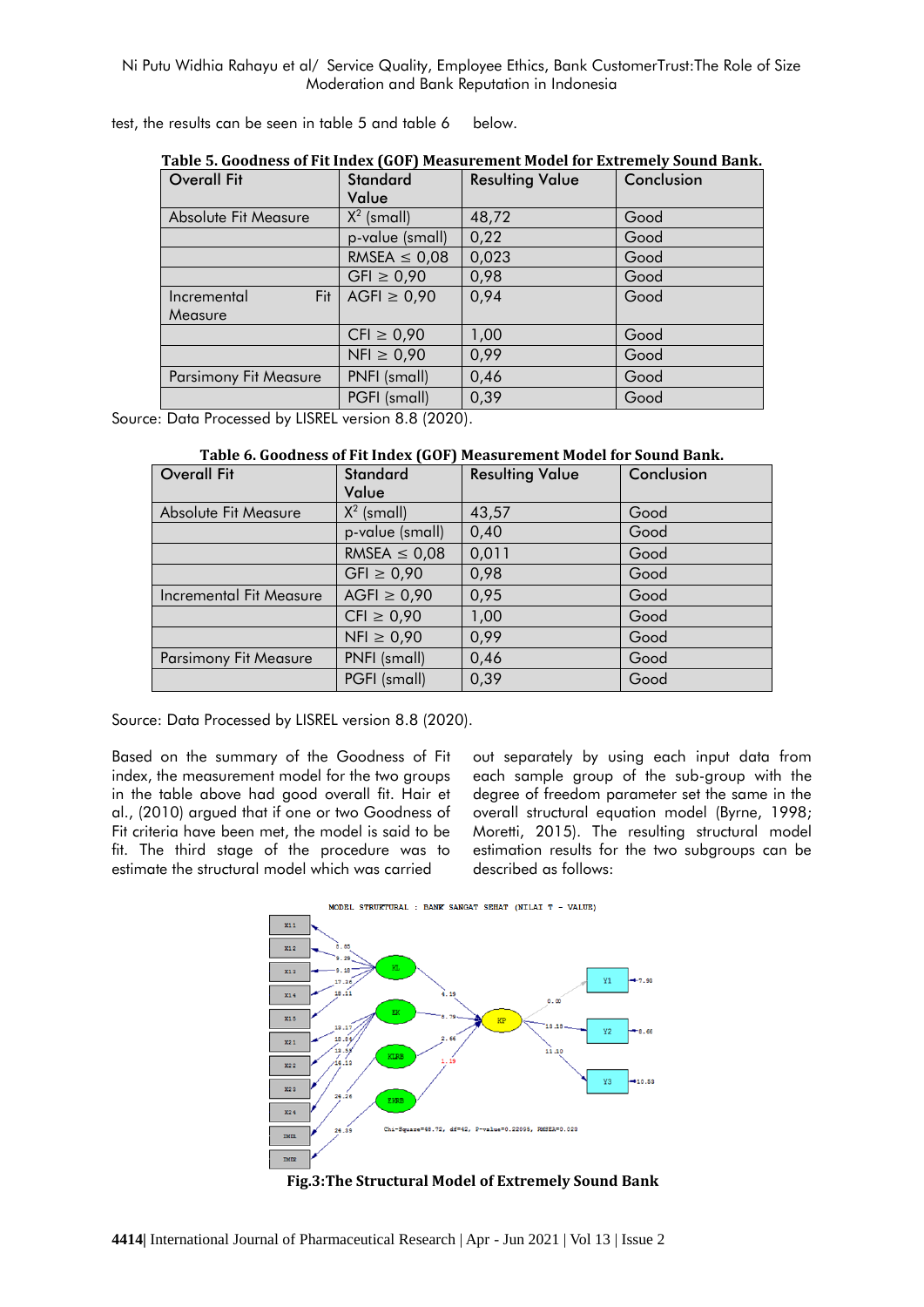test, the results can be seen in table 5 and table 6 below.

| Table 5. Goodness of Fit Index (GOF) Measurement Model for extremely Sound Bank. |                   |                        |            |
|----------------------------------------------------------------------------------|-------------------|------------------------|------------|
| <b>Overall Fit</b>                                                               | <b>Standard</b>   | <b>Resulting Value</b> | Conclusion |
|                                                                                  | Value             |                        |            |
| Absolute Fit Measure                                                             | $X^2$ (small)     | 48,72                  | Good       |
|                                                                                  | p-value (small)   | 0,22                   | Good       |
|                                                                                  | RMSEA $\leq$ 0,08 | 0,023                  | Good       |
|                                                                                  | $GFI \ge 0,90$    |                        | Good       |
| Fit<br>Incremental                                                               | AGFI $\geq 0.90$  | 0,94                   | Good       |
| Measure                                                                          |                   |                        |            |
|                                                                                  | $CFI \geq 0.90$   | 1,00                   | Good       |
|                                                                                  | $NFI \geq 0.90$   | 0,99                   | Good       |
| PNFI (small)<br><b>Parsimony Fit Measure</b>                                     |                   | 0,46                   | Good       |
|                                                                                  | PGFI (small)      | 0,39                   | Good       |

**Table 5. Goodness of Fit Index (GOF) Measurement Model for Extremely Sound Bank.**

Source: Data Processed by LISREL version 8.8 (2020).

|  |  | Table 6. Goodness of Fit Index (GOF) Measurement Model for Sound Bank. |
|--|--|------------------------------------------------------------------------|
|--|--|------------------------------------------------------------------------|

| <b>Overall Fit</b>             | <b>Standard</b>   | <b>Resulting Value</b> | Conclusion |
|--------------------------------|-------------------|------------------------|------------|
|                                | Value             |                        |            |
| Absolute Fit Measure           | $X^2$ (small)     | 43,57                  | Good       |
|                                | p-value (small)   | 0,40                   | Good       |
|                                | RMSEA $\leq$ 0,08 | 0,011                  | Good       |
|                                | $GFI \ge 0,90$    | 0,98                   | Good       |
| <b>Incremental Fit Measure</b> | $AGFI \geq 0,90$  | 0,95                   | Good       |
|                                | $CFI \geq 0.90$   | 1,00                   | Good       |
|                                | $NFl \geq 0.90$   | 0,99                   | Good       |
| <b>Parsimony Fit Measure</b>   | PNFI (small)      | 0,46                   | Good       |
|                                | PGFI (small)      | 0,39                   | Good       |

Source: Data Processed by LISREL version 8.8 (2020).

Based on the summary of the Goodness of Fit index, the measurement model for the two groups in the table above had good overall fit. Hair et al., (2010) argued that if one or two Goodness of Fit criteria have been met, the model is said to be fit. The third stage of the procedure was to estimate the structural model which was carried

out separately by using each input data from each sample group of the sub-group with the degree of freedom parameter set the same in the overall structural equation model (Byrne, 1998; Moretti, 2015). The resulting structural model estimation results for the two subgroups can be described as follows:



**Fig.3:The Structural Model of Extremely Sound Bank**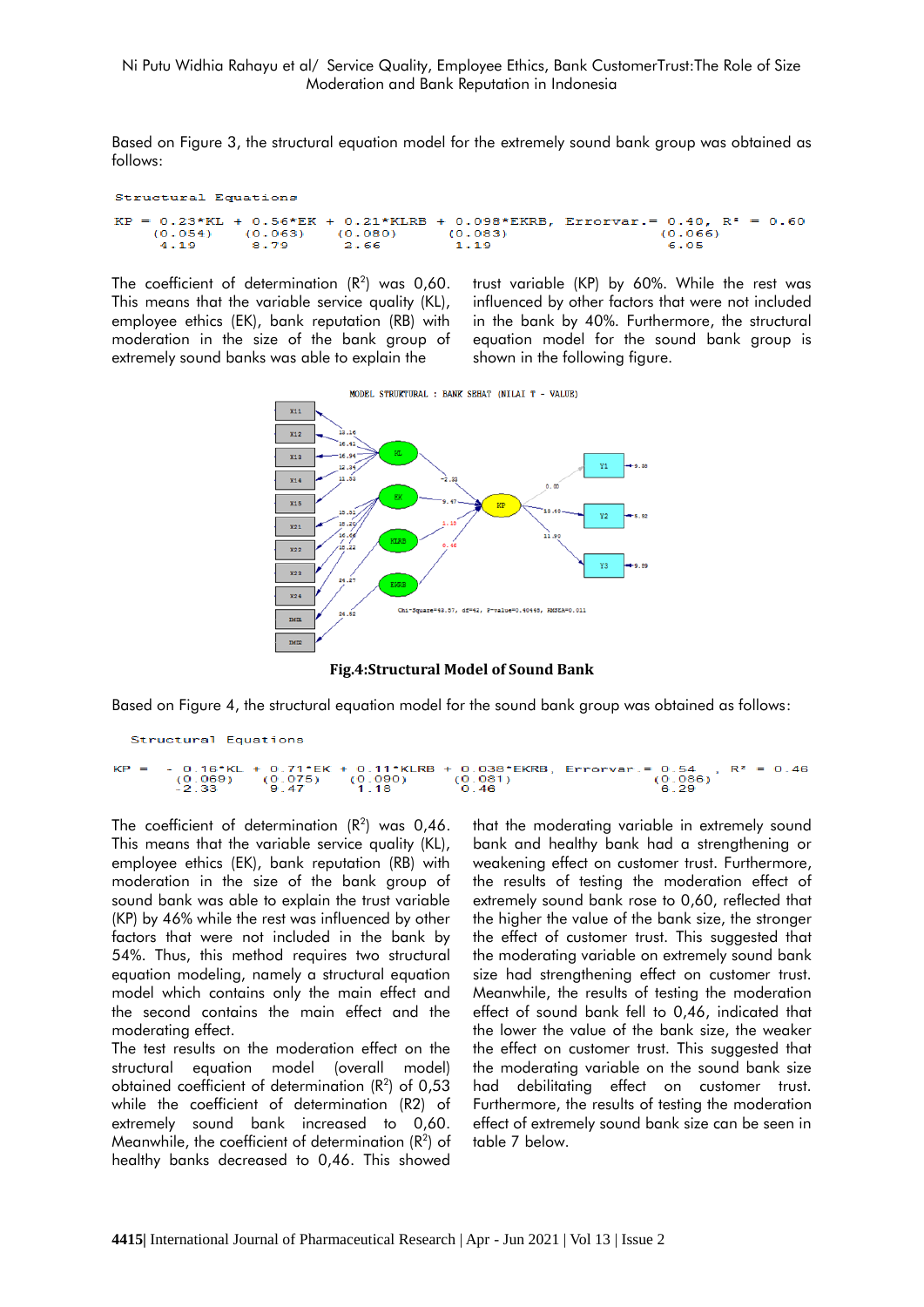Based on Figure 3, the structural equation model for the extremely sound bank group was obtained as follows:

```
Structural Equations
KP = 0.23*KL + 0.56*EK + 0.21*KLRB + 0.098*EKRB, Errorvar.= 0.40,R^* = 0.60(0.054)(0.066)(0.063) (0.080)(0.083)4.19
              8.79
                                                           6.05
                        2.66
                                    1.19
```
The coefficient of determination  $(R^2)$  was 0,60. This means that the variable service quality (KL), employee ethics (EK), bank reputation (RB) with moderation in the size of the bank group of extremely sound banks was able to explain the

trust variable (KP) by 60%. While the rest was influenced by other factors that were not included in the bank by 40%. Furthermore, the structural equation model for the sound bank group is shown in the following figure.





Based on Figure 4, the structural equation model for the sound bank group was obtained as follows:

```
Structural Equations
```
0.16\*KL + 0.71\*EK + 0.11\*KLRB + 0.038\*EKRB, Errorvar.= 0.54 ,  $R^2 = 0.46$ <br>(0.069) (0.075) (0.090) (0.081) (0.086)<br>-2.33 9.47 1.18 0.46 6.29 KF  $\equiv$ 

The coefficient of determination  $(R^2)$  was 0,46. This means that the variable service quality (KL), employee ethics (EK), bank reputation (RB) with moderation in the size of the bank group of sound bank was able to explain the trust variable (KP) by 46% while the rest was influenced by other factors that were not included in the bank by 54%. Thus, this method requires two structural equation modeling, namely a structural equation model which contains only the main effect and the second contains the main effect and the moderating effect.

The test results on the moderation effect on the structural equation model (overall model) obtained coefficient of determination  $(R^2)$  of 0,53 while the coefficient of determination (R2) of extremely sound bank increased to 0,60. Meanwhile, the coefficient of determination  $(R^2)$  of healthy banks decreased to 0,46. This showed

that the moderating variable in extremely sound bank and healthy bank had a strengthening or weakening effect on customer trust. Furthermore, the results of testing the moderation effect of extremely sound bank rose to 0,60, reflected that the higher the value of the bank size, the stronger the effect of customer trust. This suggested that the moderating variable on extremely sound bank size had strengthening effect on customer trust. Meanwhile, the results of testing the moderation effect of sound bank fell to 0,46, indicated that the lower the value of the bank size, the weaker the effect on customer trust. This suggested that the moderating variable on the sound bank size had debilitating effect on customer trust. Furthermore, the results of testing the moderation effect of extremely sound bank size can be seen in table 7 below.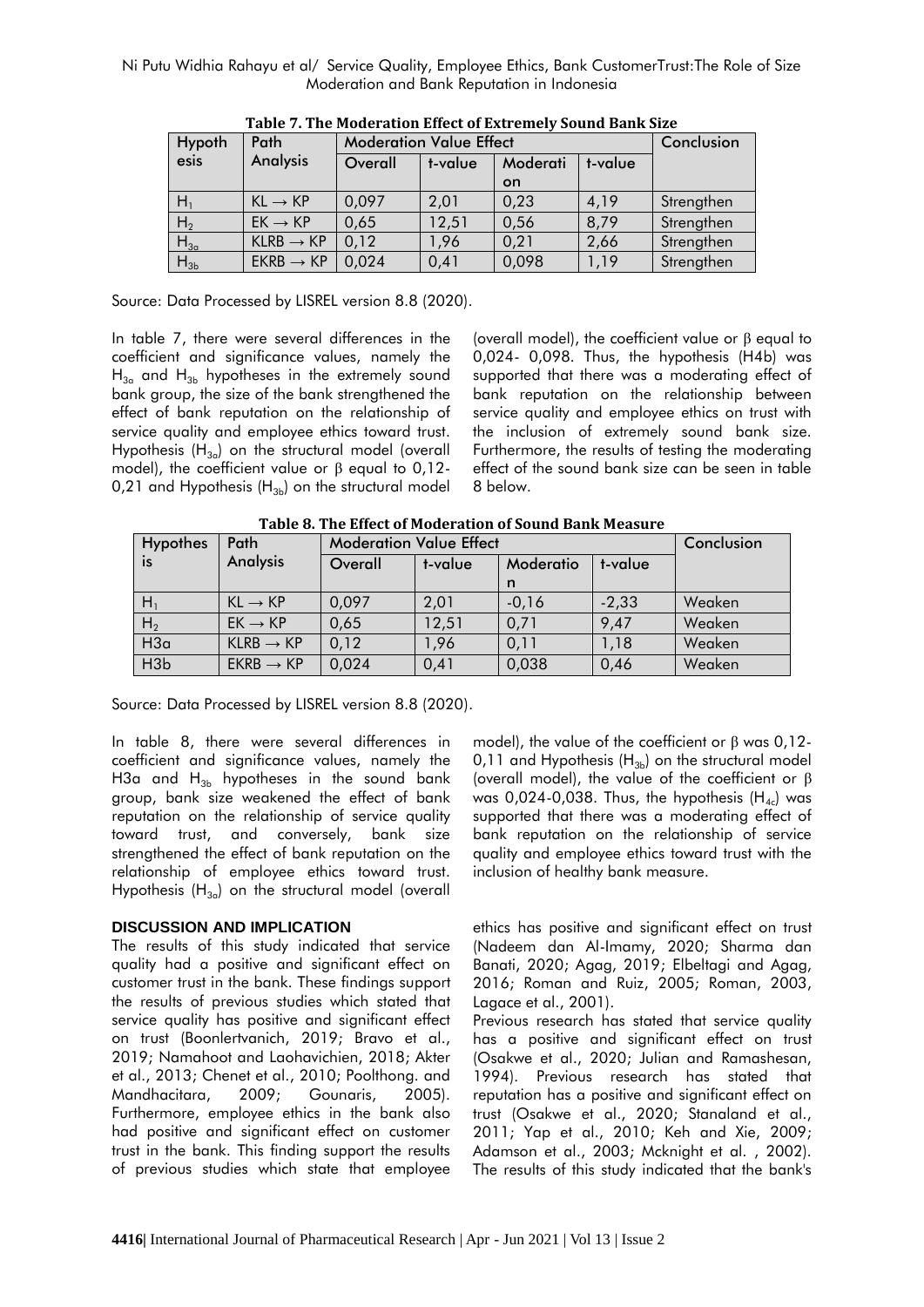| Hypoth         | Path                  |                                | <b>Moderation Value Effect</b> |           |      |            |  |  |
|----------------|-----------------------|--------------------------------|--------------------------------|-----------|------|------------|--|--|
| esis           | <b>Analysis</b>       | Overall<br>Moderati<br>t-value |                                | t-value   |      |            |  |  |
|                |                       |                                |                                | <b>on</b> |      |            |  |  |
| H.             | $KL \rightarrow KP$   | 0,097                          | 2,01                           | 0,23      | 4,19 | Strengthen |  |  |
| H <sub>2</sub> | $EK \rightarrow KP$   | 0,65                           | 12,51                          | 0,56      | 8,79 | Strengthen |  |  |
| $H_{3a}$       | $KLRB \rightarrow KP$ | 0,12                           | 1,96                           | 0,21      | 2,66 | Strengthen |  |  |
| $H_{3b}$       | $EKRB \rightarrow KP$ | 0,024                          | 0,41                           | 0,098     | 1,19 | Strengthen |  |  |

**Table 7. The Moderation Effect of Extremely Sound Bank Size**

Source: Data Processed by LISREL version 8.8 (2020).

In table 7, there were several differences in the coefficient and significance values, namely the  $H_{3a}$  and  $H_{3b}$  hypotheses in the extremely sound bank group, the size of the bank strengthened the effect of bank reputation on the relationship of service quality and employee ethics toward trust. Hypothesis  $(H_{3a})$  on the structural model (overall model), the coefficient value or  $\beta$  equal to 0,12-0,21 and Hypothesis  $(H_{3b})$  on the structural model

(overall model), the coefficient value or β equal to 0,024- 0,098. Thus, the hypothesis (H4b) was supported that there was a moderating effect of bank reputation on the relationship between service quality and employee ethics on trust with the inclusion of extremely sound bank size. Furthermore, the results of testing the moderating effect of the sound bank size can be seen in table 8 below.

**Table 8. The Effect of Moderation of Sound Bank Measure**

| <b>Hypothes</b> | Path                  |         | <b>Moderation Value Effect</b> |         |         |        |  |  |
|-----------------|-----------------------|---------|--------------------------------|---------|---------|--------|--|--|
| is.             | <b>Analysis</b>       | Overall | Moderatio<br>t-value           |         | t-value |        |  |  |
|                 |                       |         |                                | n       |         |        |  |  |
| $H_1$           | $KL \rightarrow KP$   | 0,097   | 2,01                           | $-0,16$ | $-2,33$ | Weaken |  |  |
| H <sub>2</sub>  | $EK \rightarrow KP$   | 0,65    | 12,51                          | 0,71    | 9,47    | Weaken |  |  |
| H3a             | $KLRB \rightarrow KP$ | 0,12    | 1,96                           | 0,11    | 1,18    | Weaken |  |  |
| H3b             | $EKRB \rightarrow KP$ | 0,024   | 0,41                           | 0,038   | 0,46    | Weaken |  |  |

Source: Data Processed by LISREL version 8.8 (2020).

In table 8, there were several differences in coefficient and significance values, namely the H3a and  $H_{3b}$  hypotheses in the sound bank group, bank size weakened the effect of bank reputation on the relationship of service quality toward trust, and conversely, bank size strengthened the effect of bank reputation on the relationship of employee ethics toward trust. Hypothesis  $(H_{3a})$  on the structural model (overall

# **DISCUSSION AND IMPLICATION**

The results of this study indicated that service quality had a positive and significant effect on customer trust in the bank. These findings support the results of previous studies which stated that service quality has positive and significant effect on trust (Boonlertvanich, 2019; Bravo et al., 2019; Namahoot and Laohavichien, 2018; Akter et al., 2013; Chenet et al., 2010; Poolthong. and Mandhacitara, 2009; Gounaris, 2005). Furthermore, employee ethics in the bank also had positive and significant effect on customer trust in the bank. This finding support the results of previous studies which state that employee

model), the value of the coefficient or  $β$  was  $0,12$ -0,11 and Hypothesis  $(H_{3b})$  on the structural model (overall model), the value of the coefficient or β was 0,024-0,038. Thus, the hypothesis  $(H_{4c})$  was supported that there was a moderating effect of bank reputation on the relationship of service quality and employee ethics toward trust with the inclusion of healthy bank measure.

ethics has positive and significant effect on trust (Nadeem dan Al-Imamy, 2020; Sharma dan Banati, 2020; Agag, 2019; Elbeltagi and Agag, 2016; Roman and Ruiz, 2005; Roman, 2003, Lagace et al., 2001).

Previous research has stated that service quality has a positive and significant effect on trust (Osakwe et al., 2020; Julian and Ramashesan, 1994). Previous research has stated that reputation has a positive and significant effect on trust (Osakwe et al., 2020; Stanaland et al., 2011; Yap et al., 2010; Keh and Xie, 2009; Adamson et al., 2003; Mcknight et al. , 2002). The results of this study indicated that the bank's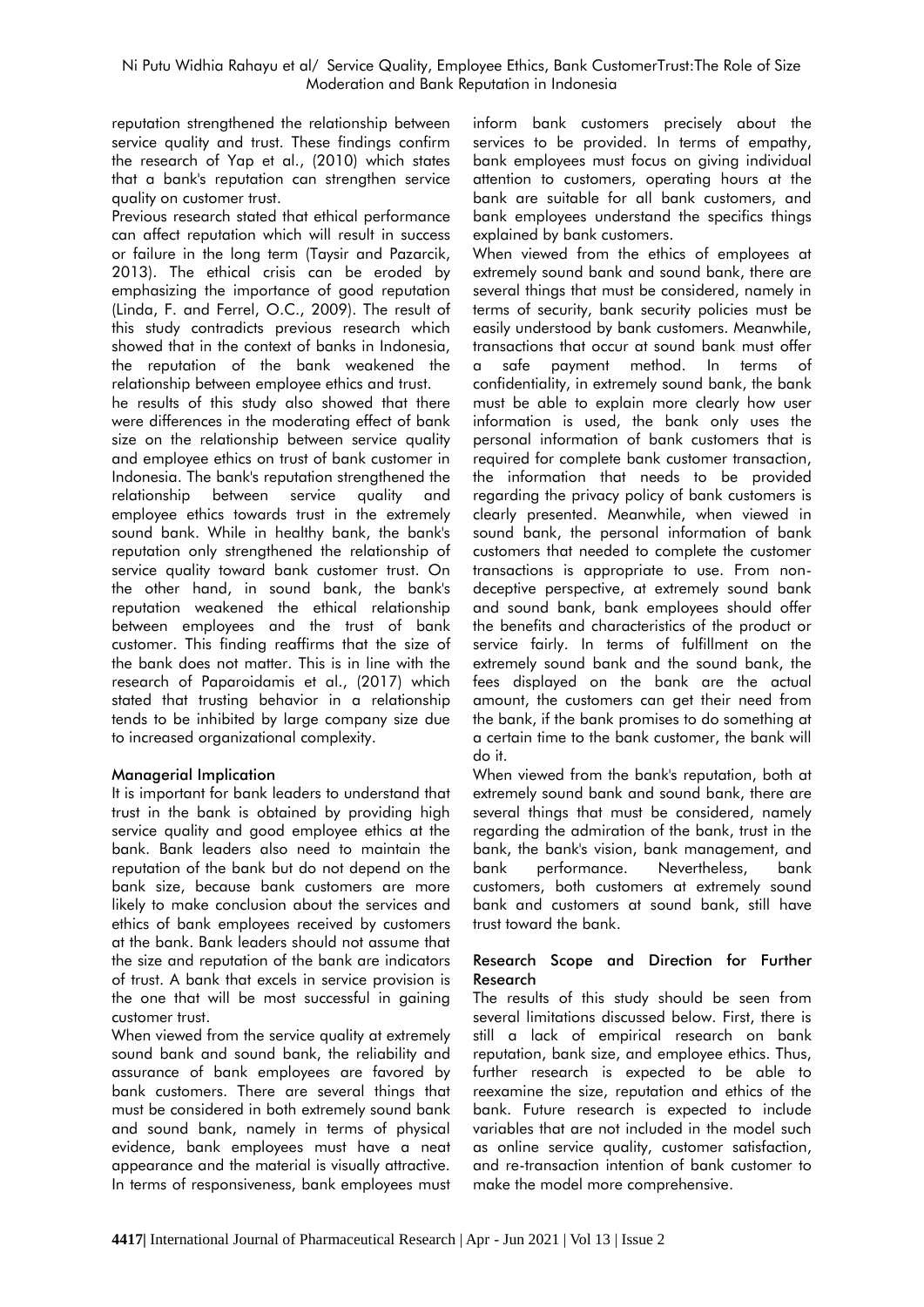reputation strengthened the relationship between service quality and trust. These findings confirm the research of Yap et al., (2010) which states that a bank's reputation can strengthen service quality on customer trust.

Previous research stated that ethical performance can affect reputation which will result in success or failure in the long term (Taysir and Pazarcik, 2013). The ethical crisis can be eroded by emphasizing the importance of good reputation (Linda, F. and Ferrel, O.C., 2009). The result of this study contradicts previous research which showed that in the context of banks in Indonesia, the reputation of the bank weakened the relationship between employee ethics and trust.

he results of this study also showed that there were differences in the moderating effect of bank size on the relationship between service quality and employee ethics on trust of bank customer in Indonesia. The bank's reputation strengthened the relationship between service quality and employee ethics towards trust in the extremely sound bank. While in healthy bank, the bank's reputation only strengthened the relationship of service quality toward bank customer trust. On the other hand, in sound bank, the bank's reputation weakened the ethical relationship between employees and the trust of bank customer. This finding reaffirms that the size of the bank does not matter. This is in line with the research of Paparoidamis et al., (2017) which stated that trusting behavior in a relationship tends to be inhibited by large company size due to increased organizational complexity.

# **Managerial Implication**

It is important for bank leaders to understand that trust in the bank is obtained by providing high service quality and good employee ethics at the bank. Bank leaders also need to maintain the reputation of the bank but do not depend on the bank size, because bank customers are more likely to make conclusion about the services and ethics of bank employees received by customers at the bank. Bank leaders should not assume that the size and reputation of the bank are indicators of trust. A bank that excels in service provision is the one that will be most successful in gaining customer trust.

When viewed from the service quality at extremely sound bank and sound bank, the reliability and assurance of bank employees are favored by bank customers. There are several things that must be considered in both extremely sound bank and sound bank, namely in terms of physical evidence, bank employees must have a neat appearance and the material is visually attractive. In terms of responsiveness, bank employees must inform bank customers precisely about the services to be provided. In terms of empathy, bank employees must focus on giving individual attention to customers, operating hours at the bank are suitable for all bank customers, and bank employees understand the specifics things explained by bank customers.

When viewed from the ethics of employees at extremely sound bank and sound bank, there are several things that must be considered, namely in terms of security, bank security policies must be easily understood by bank customers. Meanwhile, transactions that occur at sound bank must offer a safe payment method. In terms of confidentiality, in extremely sound bank, the bank must be able to explain more clearly how user information is used, the bank only uses the personal information of bank customers that is required for complete bank customer transaction, the information that needs to be provided regarding the privacy policy of bank customers is clearly presented. Meanwhile, when viewed in sound bank, the personal information of bank customers that needed to complete the customer transactions is appropriate to use. From nondeceptive perspective, at extremely sound bank and sound bank, bank employees should offer the benefits and characteristics of the product or service fairly. In terms of fulfillment on the extremely sound bank and the sound bank, the fees displayed on the bank are the actual amount, the customers can get their need from the bank, if the bank promises to do something at a certain time to the bank customer, the bank will do it.

When viewed from the bank's reputation, both at extremely sound bank and sound bank, there are several things that must be considered, namely regarding the admiration of the bank, trust in the bank, the bank's vision, bank management, and bank performance. Nevertheless, bank customers, both customers at extremely sound bank and customers at sound bank, still have trust toward the bank.

# **Research Scope and Direction for Further Research**

The results of this study should be seen from several limitations discussed below. First, there is still a lack of empirical research on bank reputation, bank size, and employee ethics. Thus, further research is expected to be able to reexamine the size, reputation and ethics of the bank. Future research is expected to include variables that are not included in the model such as online service quality, customer satisfaction, and re-transaction intention of bank customer to make the model more comprehensive.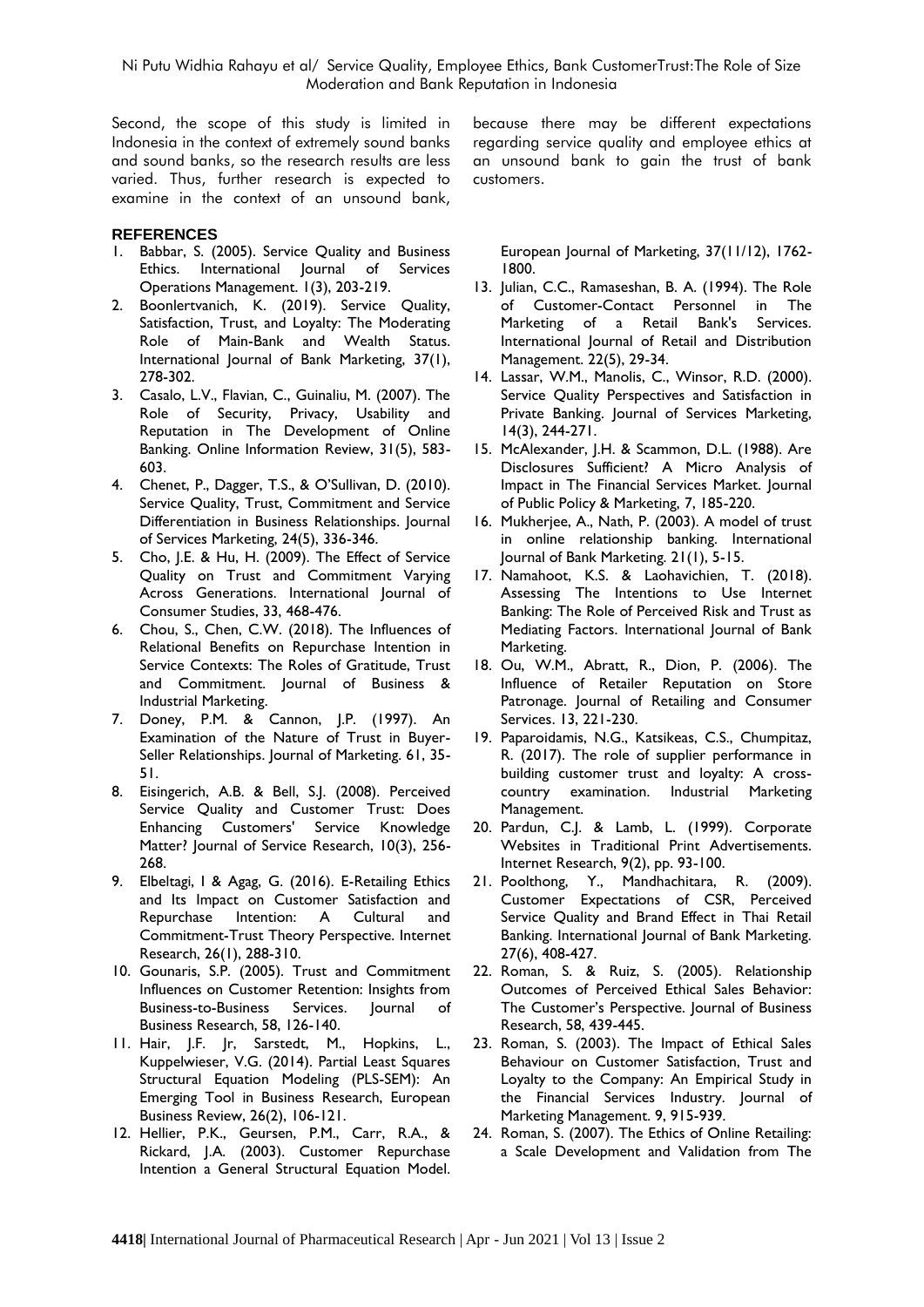Second, the scope of this study is limited in Indonesia in the context of extremely sound banks and sound banks, so the research results are less varied. Thus, further research is expected to examine in the context of an unsound bank,

#### **REFERENCES**

- 1. Babbar, S. (2005). Service Quality and Business Ethics. International Journal of Services Operations Management. 1(3), 203-219.
- 2. Boonlertvanich, K. (2019). Service Quality, Satisfaction, Trust, and Loyalty: The Moderating Role of Main-Bank and Wealth Status. International Journal of Bank Marketing, 37(1), 278-302.
- 3. Casalo, L.V., Flavian, C., Guinaliu, M. (2007). The Role of Security, Privacy, Usability and Reputation in The Development of Online Banking. Online Information Review, 31(5), 583- 603.
- 4. Chenet, P., Dagger, T.S., & O'Sullivan, D. (2010). Service Quality, Trust, Commitment and Service Differentiation in Business Relationships. Journal of Services Marketing, 24(5), 336-346.
- 5. Cho, J.E. & Hu, H. (2009). The Effect of Service Quality on Trust and Commitment Varying Across Generations. International Journal of Consumer Studies, 33, 468-476.
- 6. Chou, S., Chen, C.W. (2018). The Influences of Relational Benefits on Repurchase Intention in Service Contexts: The Roles of Gratitude, Trust and Commitment. Journal of Business & Industrial Marketing.
- 7. Doney, P.M. & Cannon, J.P. (1997). An Examination of the Nature of Trust in Buyer-Seller Relationships. Journal of Marketing. 61, 35- 51.
- 8. Eisingerich, A.B. & Bell, S.J. (2008). Perceived Service Quality and Customer Trust: Does Enhancing Customers' Service Knowledge Matter? Journal of Service Research, 10(3), 256-268.
- 9. Elbeltagi, I & Agag, G. (2016). E-Retailing Ethics and Its Impact on Customer Satisfaction and Repurchase Intention: A Cultural and Commitment-Trust Theory Perspective. Internet Research, 26(1), 288-310.
- 10. Gounaris, S.P. (2005). Trust and Commitment Influences on Customer Retention: Insights from Business-to-Business Services. Journal of Business Research, 58, 126-140.
- 11. Hair, J.F. Jr, Sarstedt, M., Hopkins, L., Kuppelwieser, V.G. (2014). Partial Least Squares Structural Equation Modeling (PLS-SEM): An Emerging Tool in Business Research, European Business Review, 26(2), 106-121.
- 12. Hellier, P.K., Geursen, P.M., Carr, R.A., & Rickard, J.A. (2003). Customer Repurchase Intention a General Structural Equation Model.

because there may be different expectations regarding service quality and employee ethics at an unsound bank to gain the trust of bank customers.

European Journal of Marketing, 37(11/12), 1762- 1800.

- 13. Julian, C.C., Ramaseshan, B. A. (1994). The Role of Customer-Contact Personnel in The Marketing of a Retail Bank's Services. International Journal of Retail and Distribution Management. 22(5), 29-34.
- 14. Lassar, W.M., Manolis, C., Winsor, R.D. (2000). Service Quality Perspectives and Satisfaction in Private Banking. Journal of Services Marketing, 14(3), 244-271.
- 15. McAlexander, J.H. & Scammon, D.L. (1988). Are Disclosures Sufficient? A Micro Analysis of Impact in The Financial Services Market. Journal of Public Policy & Marketing, 7, 185-220.
- 16. Mukherjee, A., Nath, P. (2003). A model of trust in online relationship banking. International Journal of Bank Marketing. 21(1), 5-15.
- 17. Namahoot, K.S. & Laohavichien, T. (2018). Assessing The Intentions to Use Internet Banking: The Role of Perceived Risk and Trust as Mediating Factors. International Journal of Bank Marketing.
- 18. Ou, W.M., Abratt, R., Dion, P. (2006). The Influence of Retailer Reputation on Store Patronage. Journal of Retailing and Consumer Services. 13, 221-230.
- 19. Paparoidamis, N.G., Katsikeas, C.S., Chumpitaz, R. (2017). The role of supplier performance in building customer trust and loyalty: A crosscountry examination. Industrial Marketing Management.
- 20. Pardun, C.J. & Lamb, L. (1999). Corporate Websites in Traditional Print Advertisements. Internet Research, 9(2), pp. 93-100.
- 21. Poolthong, Y., Mandhachitara, R. (2009). Customer Expectations of CSR, Perceived Service Quality and Brand Effect in Thai Retail Banking. International Journal of Bank Marketing. 27(6), 408-427.
- 22. Roman, S. & Ruiz, S. (2005). Relationship Outcomes of Perceived Ethical Sales Behavior: The Customer's Perspective. Journal of Business Research, 58, 439-445.
- 23. Roman, S. (2003). The Impact of Ethical Sales Behaviour on Customer Satisfaction, Trust and Loyalty to the Company: An Empirical Study in the Financial Services Industry. Journal of Marketing Management. 9, 915-939.
- 24. Roman, S. (2007). The Ethics of Online Retailing: a Scale Development and Validation from The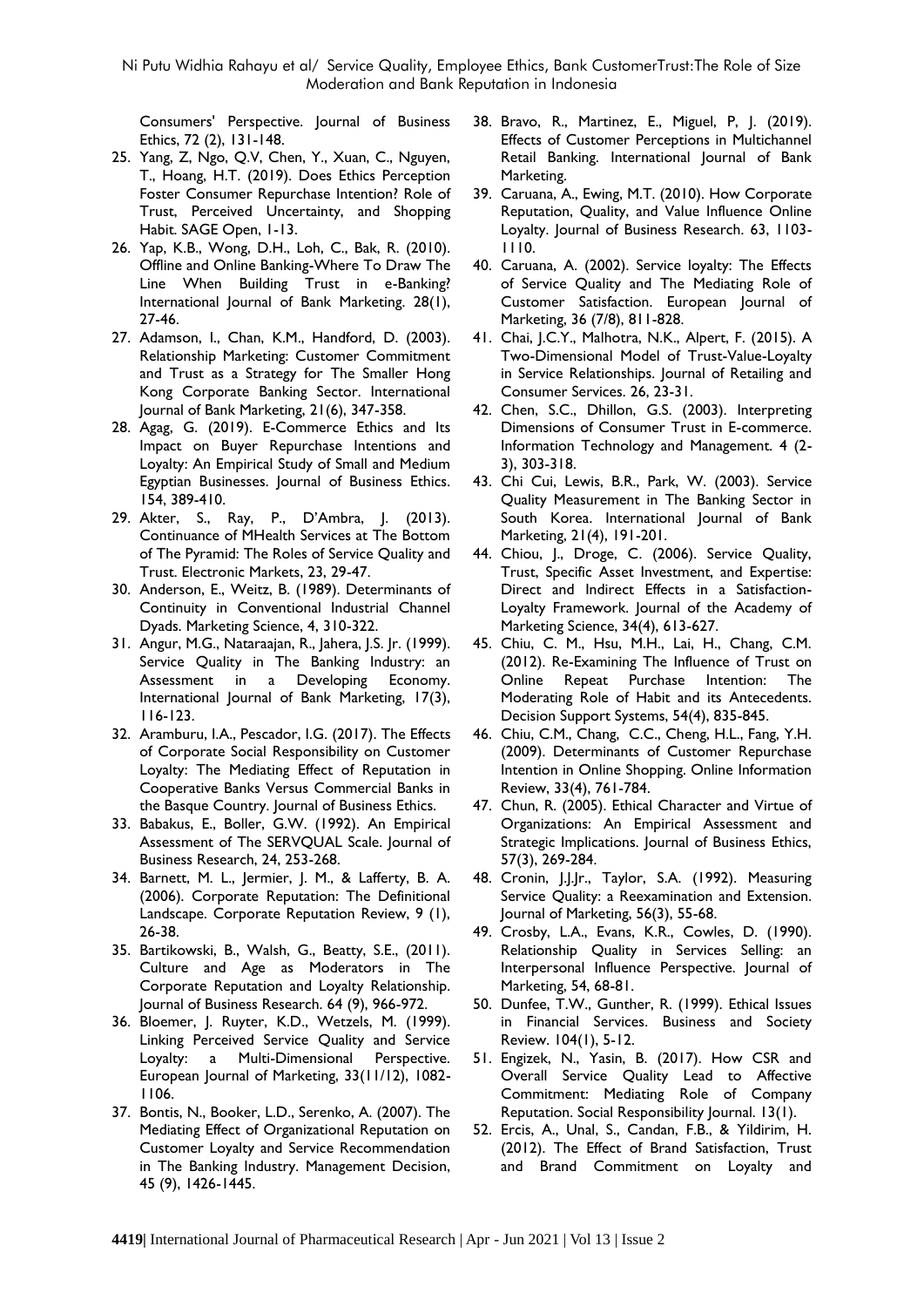Consumers' Perspective. Journal of Business Ethics, 72 (2), 131-148.

- 25. Yang, Z, Ngo, Q.V, Chen, Y., Xuan, C., Nguyen, T., Hoang, H.T. (2019). Does Ethics Perception Foster Consumer Repurchase Intention? Role of Trust, Perceived Uncertainty, and Shopping Habit. SAGE Open, 1-13.
- 26. Yap, K.B., Wong, D.H., Loh, C., Bak, R. (2010). Offline and Online Banking-Where To Draw The Line When Building Trust in e-Banking? International Journal of Bank Marketing. 28(1), 27-46.
- 27. Adamson, I., Chan, K.M., Handford, D. (2003). Relationship Marketing: Customer Commitment and Trust as a Strategy for The Smaller Hong Kong Corporate Banking Sector. International Journal of Bank Marketing, 21(6), 347-358.
- 28. Agag, G. (2019). E-Commerce Ethics and Its Impact on Buyer Repurchase Intentions and Loyalty: An Empirical Study of Small and Medium Egyptian Businesses. Journal of Business Ethics. 154, 389-410.
- 29. Akter, S., Ray, P., D'Ambra, J. (2013). Continuance of MHealth Services at The Bottom of The Pyramid: The Roles of Service Quality and Trust. Electronic Markets, 23, 29-47.
- 30. Anderson, E., Weitz, B. (1989). Determinants of Continuity in Conventional Industrial Channel Dyads. Marketing Science, 4, 310-322.
- 31. Angur, M.G., Nataraajan, R., Jahera, J.S. Jr. (1999). Service Quality in The Banking Industry: an Assessment in a Developing Economy. International Journal of Bank Marketing, 17(3), 116-123.
- 32. Aramburu, I.A., Pescador, I.G. (2017). The Effects of Corporate Social Responsibility on Customer Loyalty: The Mediating Effect of Reputation in Cooperative Banks Versus Commercial Banks in the Basque Country. Journal of Business Ethics.
- 33. Babakus, E., Boller, G.W. (1992). An Empirical Assessment of The SERVQUAL Scale. Journal of Business Research, 24, 253-268.
- 34. Barnett, M. L., Jermier, J. M., & Lafferty, B. A. (2006). Corporate Reputation: The Definitional Landscape. Corporate Reputation Review, 9 (1), 26-38.
- 35. Bartikowski, B., Walsh, G., Beatty, S.E., (2011). Culture and Age as Moderators in The Corporate Reputation and Loyalty Relationship. Journal of Business Research. 64 (9), 966-972.
- 36. Bloemer, J. Ruyter, K.D., Wetzels, M. (1999). Linking Perceived Service Quality and Service Loyalty: a Multi-Dimensional Perspective. European Journal of Marketing, 33(11/12), 1082- 1106.
- 37. Bontis, N., Booker, L.D., Serenko, A. (2007). The Mediating Effect of Organizational Reputation on Customer Loyalty and Service Recommendation in The Banking Industry. Management Decision, 45 (9), 1426-1445.
- 38. Bravo, R., Martinez, E., Miguel, P, J. (2019). Effects of Customer Perceptions in Multichannel Retail Banking. International Journal of Bank Marketing.
- 39. Caruana, A., Ewing, M.T. (2010). How Corporate Reputation, Quality, and Value Influence Online Loyalty. Journal of Business Research. 63, 1103- 1110.
- 40. Caruana, A. (2002). Service loyalty: The Effects of Service Quality and The Mediating Role of Customer Satisfaction. European Journal of Marketing, 36 (7/8), 811-828.
- 41. Chai, J.C.Y., Malhotra, N.K., Alpert, F. (2015). A Two-Dimensional Model of Trust-Value-Loyalty in Service Relationships. Journal of Retailing and Consumer Services. 26, 23-31.
- 42. Chen, S.C., Dhillon, G.S. (2003). Interpreting Dimensions of Consumer Trust in E-commerce. Information Technology and Management. 4 (2- 3), 303-318.
- 43. Chi Cui, Lewis, B.R., Park, W. (2003). Service Quality Measurement in The Banking Sector in South Korea. [International Journal of Bank](https://www.emerald.com/insight/publication/issn/0265-2323)  [Marketing,](https://www.emerald.com/insight/publication/issn/0265-2323) 21(4), 191-201.
- 44. Chiou, J., Droge, C. (2006). Service Quality, Trust, Specific Asset Investment, and Expertise: Direct and Indirect Effects in a Satisfaction-Loyalty Framework. Journal of the Academy of Marketing Science, 34(4), 613-627.
- 45. Chiu, C. M., Hsu, M.H., Lai, H., Chang, C.M. (2012). Re-Examining The Influence of Trust on Online Repeat Purchase Intention: The Moderating Role of Habit and its Antecedents. Decision Support Systems, 54(4), 835-845.
- 46. Chiu, C.M., Chang, C.C., Cheng, H.L., Fang, Y.H. (2009). Determinants of Customer Repurchase Intention in Online Shopping. Online Information Review, 33(4), 761-784.
- 47. Chun, R. (2005). Ethical Character and Virtue of Organizations: An Empirical Assessment and Strategic Implications. Journal of Business Ethics, 57(3), 269-284.
- 48. Cronin, J.J.Jr., Taylor, S.A. (1992). Measuring Service Quality: a Reexamination and Extension. Journal of Marketing, 56(3), 55-68.
- 49. Crosby, L.A., Evans, K.R., Cowles, D. (1990). Relationship Quality in Services Selling: an Interpersonal Influence Perspective. Journal of Marketing, 54, 68-81.
- 50. Dunfee, T.W., Gunther, R. (1999). Ethical Issues in Financial Services. Business and Society Review. 104(1), 5-12.
- 51. Engizek, N., Yasin, B. (2017). How CSR and Overall Service Quality Lead to Affective Commitment: Mediating Role of Company Reputation. Social Responsibility Journal. 13(1).
- 52. Ercis, A., Unal, S., Candan, F.B., & Yildirim, H. (2012). The Effect of Brand Satisfaction, Trust and Brand Commitment on Loyalty and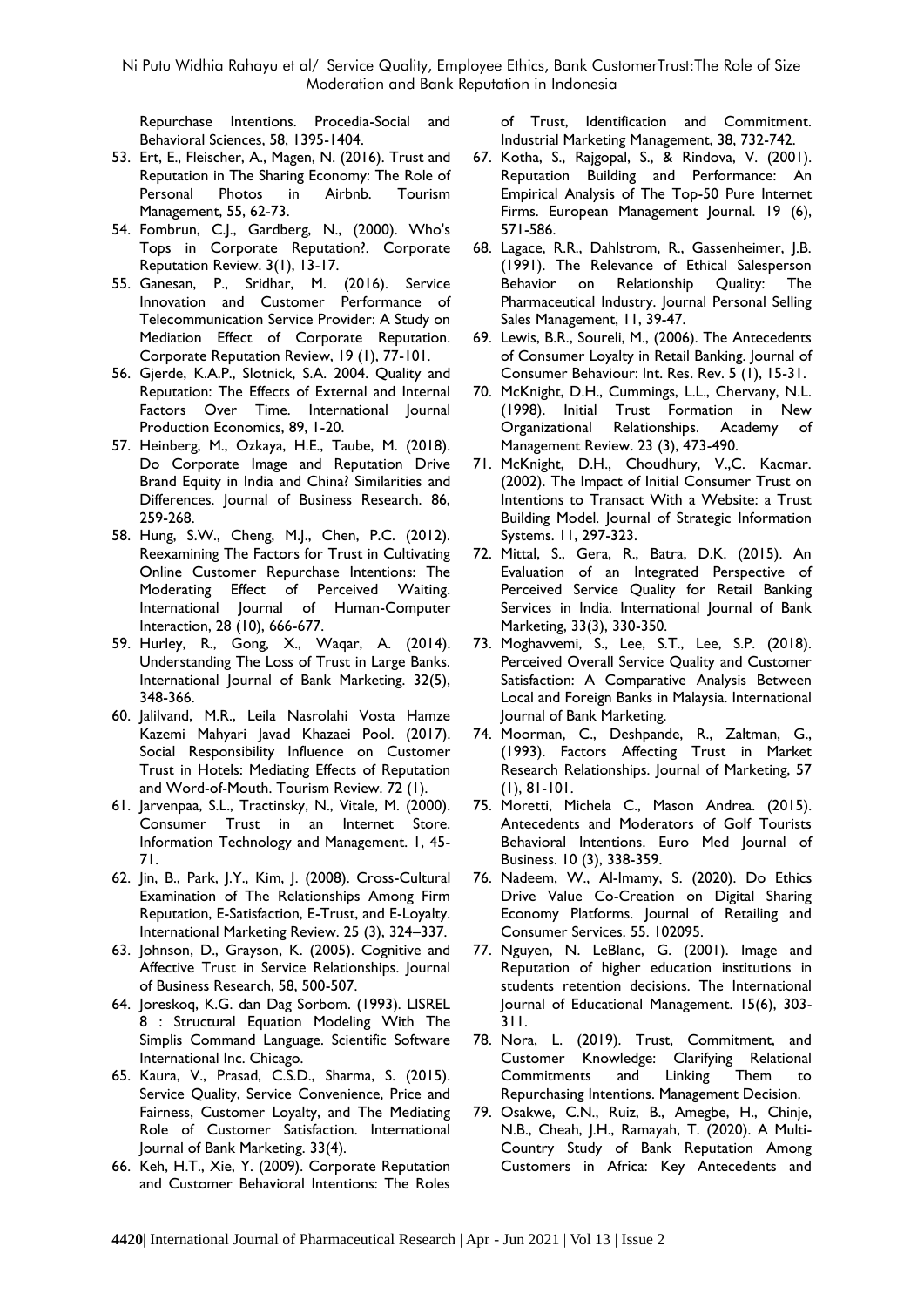Repurchase Intentions. Procedia-Social and Behavioral Sciences, 58, 1395-1404.

- 53. Ert, E., Fleischer, A., Magen, N. (2016). Trust and Reputation in The Sharing Economy: The Role of Personal Photos in Airbnb. Tourism Management, 55, 62-73.
- 54. Fombrun, C.J., Gardberg, N., (2000). Who's Tops in Corporate Reputation?. Corporate Reputation Review. 3(1), 13-17.
- 55. Ganesan, P., Sridhar, M. (2016). Service Innovation and Customer Performance of Telecommunication Service Provider: A Study on Mediation Effect of Corporate Reputation. Corporate Reputation Review, 19 (1), 77-101.
- 56. Gjerde, K.A.P., Slotnick, S.A. 2004. Quality and Reputation: The Effects of External and Internal Factors Over Time. International Journal Production Economics, 89, 1-20.
- 57. Heinberg, M., Ozkaya, H.E., Taube, M. (2018). Do Corporate Image and Reputation Drive Brand Equity in India and China? Similarities and Differences. Journal of Business Research. 86, 259-268.
- 58. Hung, S.W., Cheng, M.J., Chen, P.C. (2012). Reexamining The Factors for Trust in Cultivating Online Customer Repurchase Intentions: The Moderating Effect of Perceived Waiting. International Journal of Human-Computer Interaction, 28 (10), 666-677.
- 59. Hurley, R., Gong, X., Waqar, A. (2014). Understanding The Loss of Trust in Large Banks. International Journal of Bank Marketing. 32(5), 348-366.
- 60. Jalilvand, M.R., Leila Nasrolahi Vosta Hamze Kazemi Mahyari Javad Khazaei Pool. (2017). Social Responsibility Influence on Customer Trust in Hotels: Mediating Effects of Reputation and Word-of-Mouth. Tourism Review. 72 (1).
- 61. Jarvenpaa, S.L., Tractinsky, N., Vitale, M. (2000). Consumer Trust in an Internet Store. Information Technology and Management. 1, 45- 71.
- 62. Jin, B., Park, J.Y., Kim, J. (2008). Cross-Cultural Examination of The Relationships Among Firm Reputation, E-Satisfaction, E-Trust, and E-Loyalty. International Marketing Review. 25 (3), 324–337.
- 63. Johnson, D., Grayson, K. (2005). Cognitive and Affective Trust in Service Relationships. Journal of Business Research, 58, 500-507.
- 64. Joreskoq, K.G. dan Dag Sorbom. (1993). LISREL 8 : Structural Equation Modeling With The Simplis Command Language. Scientific Software International Inc. Chicago.
- 65. Kaura, V., Prasad, C.S.D., Sharma, S. (2015). Service Quality, Service Convenience, Price and Fairness, Customer Loyalty, and The Mediating Role of Customer Satisfaction. International Journal of Bank Marketing. 33(4).
- 66. Keh, H.T., Xie, Y. (2009). Corporate Reputation and Customer Behavioral Intentions: The Roles

of Trust, Identification and Commitment. Industrial Marketing Management, 38, 732-742.

- 67. Kotha, S., Rajgopal, S., & Rindova, V. (2001). Reputation Building and Performance: An Empirical Analysis of The Top-50 Pure Internet Firms. European Management Journal. 19 (6), 571-586.
- 68. Lagace, R.R., Dahlstrom, R., Gassenheimer, J.B. (1991). The Relevance of Ethical Salesperson Behavior on Relationship Quality: The Pharmaceutical Industry. Journal Personal Selling Sales Management, 11, 39-47.
- 69. Lewis, B.R., Soureli, M., (2006). The Antecedents of Consumer Loyalty in Retail Banking. Journal of Consumer Behaviour: Int. Res. Rev. 5 (1), 15-31.
- 70. McKnight, D.H., Cummings, L.L., Chervany, N.L. (1998). Initial Trust Formation in New Organizational Relationships. Academy of Management Review. 23 (3), 473-490.
- 71. McKnight, D.H., Choudhury, V.,C. Kacmar. (2002). The Impact of Initial Consumer Trust on Intentions to Transact With a Website: a Trust Building Model. Journal of Strategic Information Systems. 11, 297-323.
- 72. Mittal, S., Gera, R., Batra, D.K. (2015). An Evaluation of an Integrated Perspective of Perceived Service Quality for Retail Banking Services in India. International Journal of Bank Marketing, 33(3), 330-350.
- 73. Moghavvemi, S., Lee, S.T., Lee, S.P. (2018). Perceived Overall Service Quality and Customer Satisfaction: A Comparative Analysis Between Local and Foreign Banks in Malaysia. International Journal of Bank Marketing.
- 74. Moorman, C., Deshpande, R., Zaltman, G., (1993). Factors Affecting Trust in Market Research Relationships. Journal of Marketing, 57 (1), 81-101.
- 75. Moretti, Michela C., Mason Andrea. (2015). Antecedents and Moderators of Golf Tourists Behavioral Intentions. Euro Med Journal of Business. 10 (3), 338-359.
- 76. Nadeem, W., Al-Imamy, S. (2020). Do Ethics Drive Value Co-Creation on Digital Sharing Economy Platforms. Journal of Retailing and Consumer Services. 55. 102095.
- 77. Nguyen, N. LeBlanc, G. (2001). Image and Reputation of higher education institutions in students retention decisions. The International Journal of Educational Management. 15(6), 303- 311.
- 78. Nora, L. (2019). Trust, Commitment, and Customer Knowledge: Clarifying Relational Commitments and Linking Them to Repurchasing Intentions. Management Decision.
- 79. Osakwe, C.N., Ruiz, B., Amegbe, H., Chinje, N.B., Cheah, J.H., Ramayah, T. (2020). A Multi-Country Study of Bank Reputation Among Customers in Africa: Key Antecedents and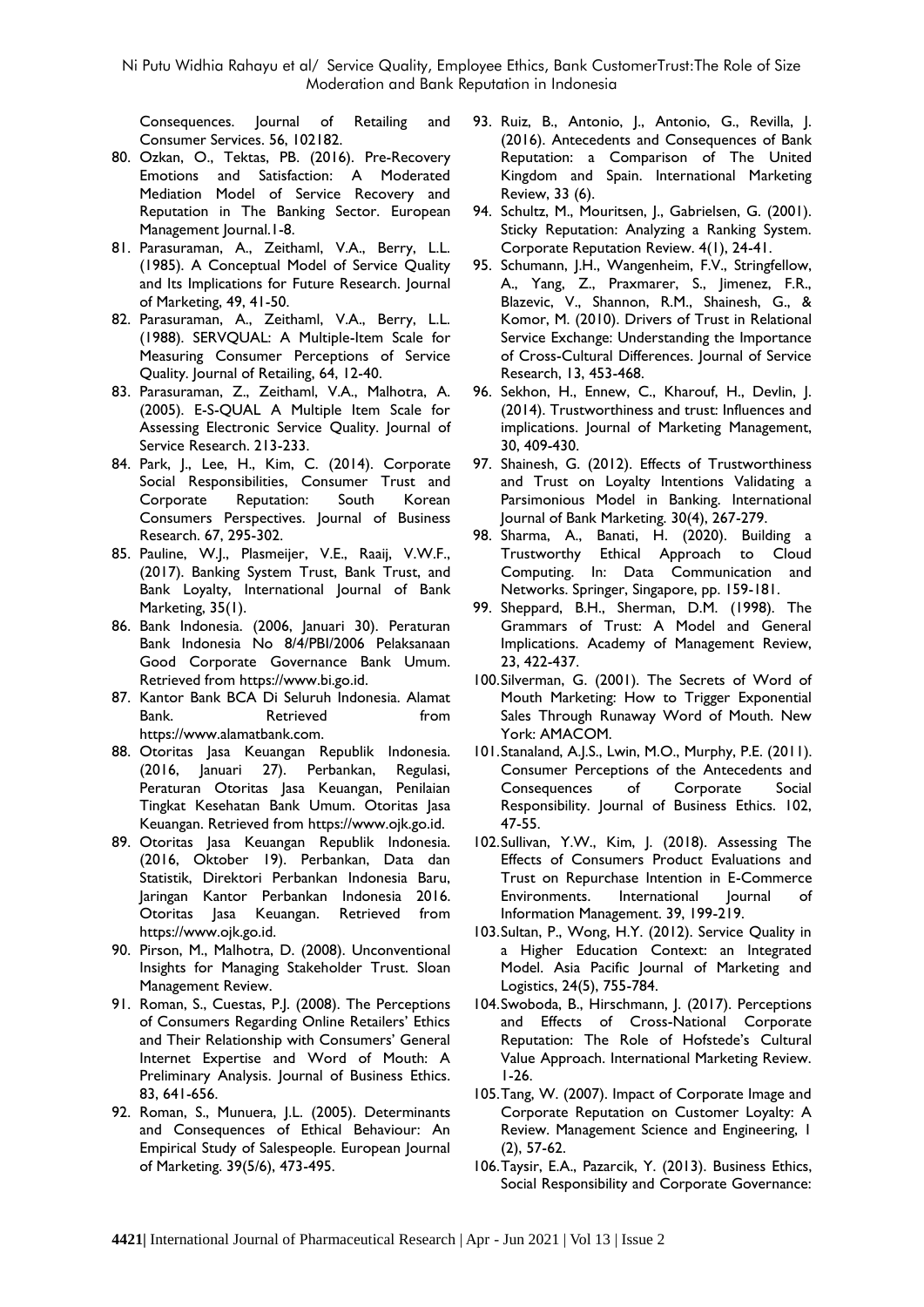Consequences. Journal of Retailing and Consumer Services. 56, 102182.

- 80. Ozkan, O., Tektas, PB. (2016). Pre-Recovery Emotions and Satisfaction: A Moderated Mediation Model of Service Recovery and Reputation in The Banking Sector. European Management Journal.1-8.
- 81. Parasuraman, A., Zeithaml, V.A., Berry, L.L. (1985). A Conceptual Model of Service Quality and Its Implications for Future Research. Journal of Marketing, 49, 41-50.
- 82. Parasuraman, A., Zeithaml, V.A., Berry, L.L. (1988). SERVQUAL: A Multiple-Item Scale for Measuring Consumer Perceptions of Service Quality. Journal of Retailing, 64, 12-40.
- 83. Parasuraman, Z., Zeithaml, V.A., Malhotra, A. (2005). E-S-QUAL A Multiple Item Scale for Assessing Electronic Service Quality. Journal of Service Research. 213-233.
- 84. Park, J., Lee, H., Kim, C. (2014). Corporate Social Responsibilities, Consumer Trust and Corporate Reputation: South Korean Consumers Perspectives. Journal of Business Research. 67, 295-302.
- 85. Pauline, W.J., Plasmeijer, V.E., Raaij, V.W.F., (2017). Banking System Trust, Bank Trust, and Bank Loyalty, International Journal of Bank Marketing, 35(1).
- 86. Bank Indonesia. (2006, Januari 30). Peraturan Bank Indonesia No 8/4/PBI/2006 Pelaksanaan Good Corporate Governance Bank Umum. Retrieved from [https://www.bi.go.id.](https://www.bi.go.id/)
- 87. Kantor Bank BCA Di Seluruh Indonesia. Alamat Bank. Retrieved from [https://www.alamatbank.com.](https://www.alamatbank.com./)
- 88. Otoritas Jasa Keuangan Republik Indonesia. (2016, Januari 27). Perbankan, Regulasi, Peraturan Otoritas Jasa Keuangan, Penilaian Tingkat Kesehatan Bank Umum. Otoritas Jasa Keuangan. Retrieved from [https://www.ojk.go.id.](https://www.ojk.go.id/)
- 89. Otoritas Jasa Keuangan Republik Indonesia. (2016, Oktober 19). Perbankan, Data dan Statistik, Direktori Perbankan Indonesia Baru, Jaringan Kantor Perbankan Indonesia 2016. Otoritas Jasa Keuangan. Retrieved from [https://www.ojk.go.id.](https://www.ojk.go.id/)
- 90. Pirson, M., Malhotra, D. (2008). Unconventional Insights for Managing Stakeholder Trust. Sloan Management Review.
- 91. Roman, S., Cuestas, P.J. (2008). The Perceptions of Consumers Regarding Online Retailers' Ethics and Their Relationship with Consumers' General Internet Expertise and Word of Mouth: A Preliminary Analysis. Journal of Business Ethics. 83, 641-656.
- 92. Roman, S., Munuera, J.L. (2005). Determinants and Consequences of Ethical Behaviour: An Empirical Study of Salespeople. European Journal of Marketing. 39(5/6), 473-495.
- 93. Ruiz, B., Antonio, J., Antonio, G., Revilla, J. (2016). Antecedents and Consequences of Bank Reputation: a Comparison of The United Kingdom and Spain. International Marketing Review, 33 (6).
- 94. Schultz, M., Mouritsen, J., Gabrielsen, G. (2001). Sticky Reputation: Analyzing a Ranking System. Corporate Reputation Review. 4(1), 24-41.
- 95. Schumann, J.H., Wangenheim, F.V., Stringfellow, A., Yang, Z., Praxmarer, S., Jimenez, F.R., Blazevic, V., Shannon, R.M., Shainesh, G., & Komor, M. (2010). Drivers of Trust in Relational Service Exchange: Understanding the Importance of Cross-Cultural Differences. Journal of Service Research, 13, 453-468.
- 96. Sekhon, H., Ennew, C., Kharouf, H., Devlin, J. (2014). Trustworthiness and trust: Influences and implications. Journal of Marketing Management, 30, 409-430.
- 97. Shainesh, G. (2012). Effects of Trustworthiness and Trust on Loyalty Intentions Validating a Parsimonious Model in Banking. International Journal of Bank Marketing. 30(4), 267-279.
- 98. Sharma, A., Banati, H. (2020). Building a Trustworthy Ethical Approach to Cloud Computing. In: Data Communication and Networks. Springer, Singapore, pp. 159-181.
- 99. Sheppard, B.H., Sherman, D.M. (1998). The Grammars of Trust: A Model and General Implications. Academy of Management Review, 23, 422-437.
- 100.Silverman, G. (2001). The Secrets of Word of Mouth Marketing: How to Trigger Exponential Sales Through Runaway Word of Mouth. New York: AMACOM.
- 101.Stanaland, A.J.S., Lwin, M.O., Murphy, P.E. (2011). Consumer Perceptions of the Antecedents and Consequences of Corporate Social Responsibility. Journal of Business Ethics. 102, 47-55.
- 102.Sullivan, Y.W., Kim, J. (2018). Assessing The Effects of Consumers Product Evaluations and Trust on Repurchase Intention in E-Commerce Environments. International Journal of Information Management. 39, 199-219.
- 103.Sultan, P., Wong, H.Y. (2012). Service Quality in a Higher Education Context: an Integrated Model. Asia Pacific Journal of Marketing and Logistics, 24(5), 755-784.
- 104.Swoboda, B., Hirschmann, J. (2017). Perceptions and Effects of Cross-National Corporate Reputation: The Role of Hofstede's Cultural Value Approach. International Marketing Review. 1-26.
- 105.Tang, W. (2007). Impact of Corporate Image and Corporate Reputation on Customer Loyalty: A Review. Management Science and Engineering, 1 (2), 57-62.
- 106.Taysir, E.A., Pazarcik, Y. (2013). Business Ethics, Social Responsibility and Corporate Governance: